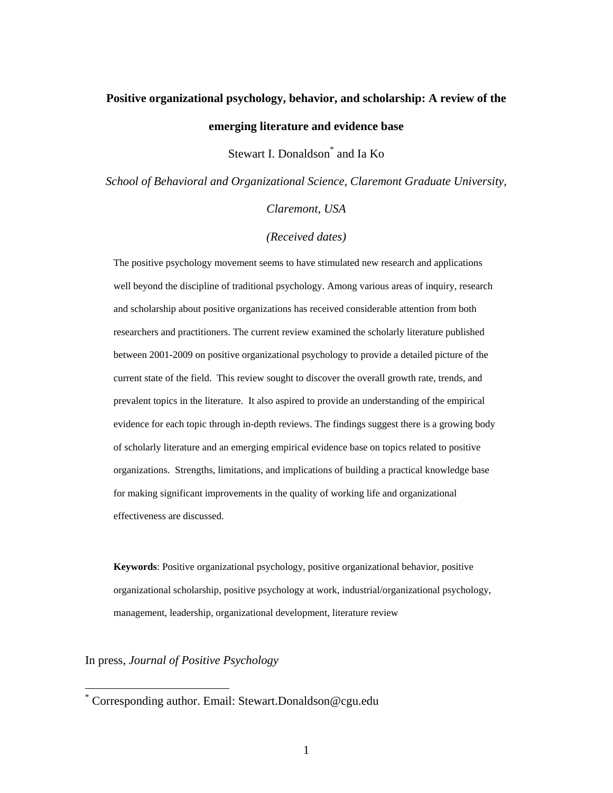# **Positive organizational psychology, behavior, and scholarship: A review of the emerging literature and evidence base**

Stewart I. Donaldson<sup>\*</sup> and Ia Ko

*School of Behavioral and Organizational Science, Claremont Graduate University,* 

*Claremont, USA* 

*(Received dates)* 

The positive psychology movement seems to have stimulated new research and applications well beyond the discipline of traditional psychology. Among various areas of inquiry, research and scholarship about positive organizations has received considerable attention from both researchers and practitioners. The current review examined the scholarly literature published between 2001-2009 on positive organizational psychology to provide a detailed picture of the current state of the field. This review sought to discover the overall growth rate, trends, and prevalent topics in the literature. It also aspired to provide an understanding of the empirical evidence for each topic through in-depth reviews. The findings suggest there is a growing body of scholarly literature and an emerging empirical evidence base on topics related to positive organizations. Strengths, limitations, and implications of building a practical knowledge base for making significant improvements in the quality of working life and organizational effectiveness are discussed.

**Keywords**: Positive organizational psychology, positive organizational behavior, positive organizational scholarship, positive psychology at work, industrial/organizational psychology, management, leadership, organizational development, literature review

In press, *Journal of Positive Psychology*

<sup>\*</sup> Corresponding author. Email: Stewart.Donaldson@cgu.edu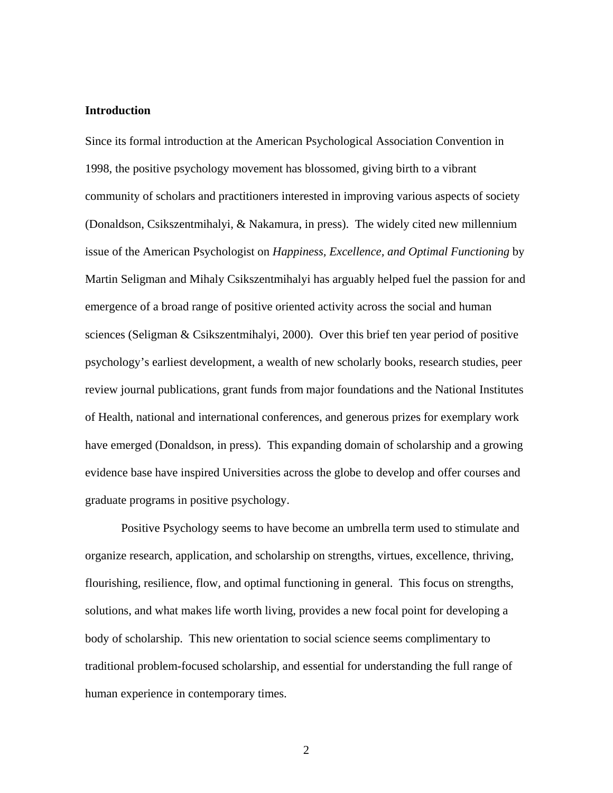## **Introduction**

Since its formal introduction at the American Psychological Association Convention in 1998, the positive psychology movement has blossomed, giving birth to a vibrant community of scholars and practitioners interested in improving various aspects of society (Donaldson, Csikszentmihalyi, & Nakamura, in press). The widely cited new millennium issue of the American Psychologist on *Happiness, Excellence, and Optimal Functioning* by Martin Seligman and Mihaly Csikszentmihalyi has arguably helped fuel the passion for and emergence of a broad range of positive oriented activity across the social and human sciences (Seligman & Csikszentmihalyi, 2000). Over this brief ten year period of positive psychology's earliest development, a wealth of new scholarly books, research studies, peer review journal publications, grant funds from major foundations and the National Institutes of Health, national and international conferences, and generous prizes for exemplary work have emerged (Donaldson, in press). This expanding domain of scholarship and a growing evidence base have inspired Universities across the globe to develop and offer courses and graduate programs in positive psychology.

Positive Psychology seems to have become an umbrella term used to stimulate and organize research, application, and scholarship on strengths, virtues, excellence, thriving, flourishing, resilience, flow, and optimal functioning in general. This focus on strengths, solutions, and what makes life worth living, provides a new focal point for developing a body of scholarship. This new orientation to social science seems complimentary to traditional problem-focused scholarship, and essential for understanding the full range of human experience in contemporary times.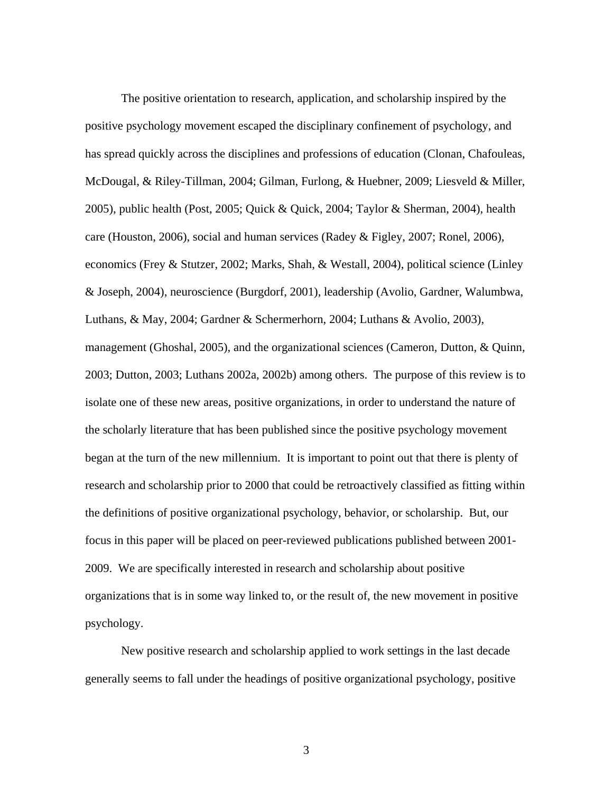The positive orientation to research, application, and scholarship inspired by the positive psychology movement escaped the disciplinary confinement of psychology, and has spread quickly across the disciplines and professions of education (Clonan, Chafouleas, McDougal, & Riley-Tillman, 2004; Gilman, Furlong, & Huebner, 2009; Liesveld & Miller, 2005), public health (Post, 2005; Quick & Quick, 2004; Taylor & Sherman, 2004), health care (Houston, 2006), social and human services (Radey & Figley, 2007; Ronel, 2006), economics (Frey & Stutzer, 2002; Marks, Shah, & Westall, 2004), political science (Linley & Joseph, 2004), neuroscience (Burgdorf, 2001), leadership (Avolio, Gardner, Walumbwa, Luthans, & May, 2004; Gardner & Schermerhorn, 2004; Luthans & Avolio, 2003), management (Ghoshal, 2005), and the organizational sciences (Cameron, Dutton, & Quinn, 2003; Dutton, 2003; Luthans 2002a, 2002b) among others. The purpose of this review is to isolate one of these new areas, positive organizations, in order to understand the nature of the scholarly literature that has been published since the positive psychology movement began at the turn of the new millennium. It is important to point out that there is plenty of research and scholarship prior to 2000 that could be retroactively classified as fitting within the definitions of positive organizational psychology, behavior, or scholarship. But, our focus in this paper will be placed on peer-reviewed publications published between 2001- 2009. We are specifically interested in research and scholarship about positive organizations that is in some way linked to, or the result of, the new movement in positive psychology.

New positive research and scholarship applied to work settings in the last decade generally seems to fall under the headings of positive organizational psychology, positive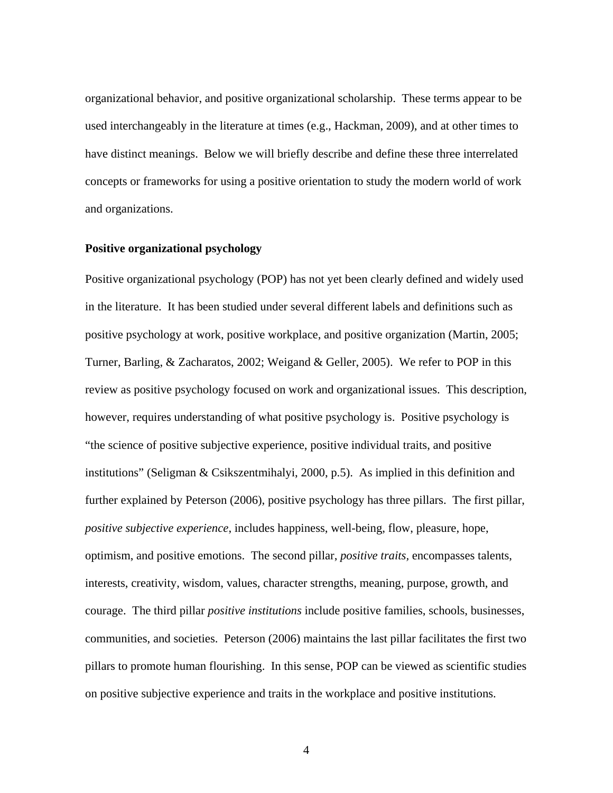organizational behavior, and positive organizational scholarship. These terms appear to be used interchangeably in the literature at times (e.g., Hackman, 2009), and at other times to have distinct meanings. Below we will briefly describe and define these three interrelated concepts or frameworks for using a positive orientation to study the modern world of work and organizations.

#### **Positive organizational psychology**

Positive organizational psychology (POP) has not yet been clearly defined and widely used in the literature. It has been studied under several different labels and definitions such as positive psychology at work, positive workplace, and positive organization (Martin, 2005; Turner, Barling, & Zacharatos, 2002; Weigand & Geller, 2005). We refer to POP in this review as positive psychology focused on work and organizational issues. This description, however, requires understanding of what positive psychology is. Positive psychology is "the science of positive subjective experience, positive individual traits, and positive institutions" (Seligman & Csikszentmihalyi, 2000, p.5). As implied in this definition and further explained by Peterson (2006), positive psychology has three pillars. The first pillar, *positive subjective experience*, includes happiness, well-being, flow, pleasure, hope, optimism, and positive emotions. The second pillar, *positive traits,* encompasses talents, interests, creativity, wisdom, values, character strengths, meaning, purpose, growth, and courage. The third pillar *positive institutions* include positive families, schools, businesses, communities, and societies. Peterson (2006) maintains the last pillar facilitates the first two pillars to promote human flourishing. In this sense, POP can be viewed as scientific studies on positive subjective experience and traits in the workplace and positive institutions.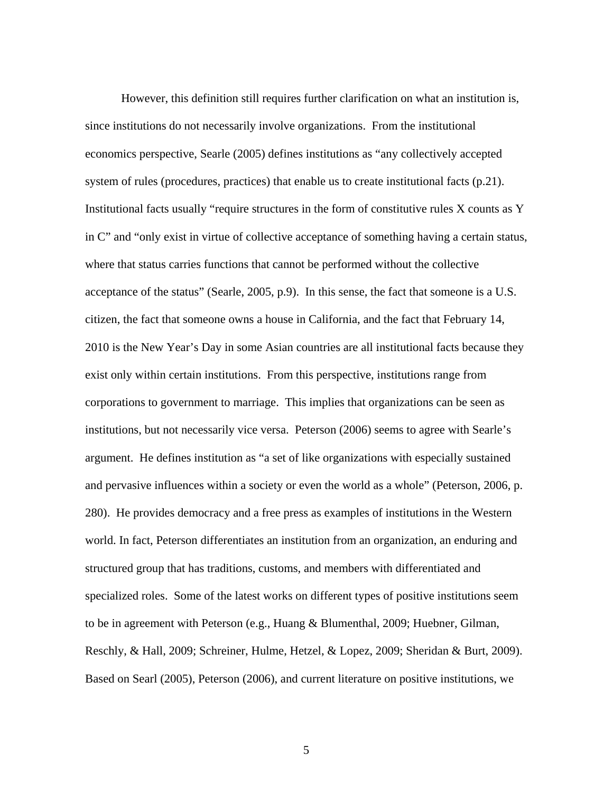However, this definition still requires further clarification on what an institution is, since institutions do not necessarily involve organizations. From the institutional economics perspective, Searle (2005) defines institutions as "any collectively accepted system of rules (procedures, practices) that enable us to create institutional facts (p.21). Institutional facts usually "require structures in the form of constitutive rules X counts as Y in C" and "only exist in virtue of collective acceptance of something having a certain status, where that status carries functions that cannot be performed without the collective acceptance of the status" (Searle, 2005, p.9). In this sense, the fact that someone is a U.S. citizen, the fact that someone owns a house in California, and the fact that February 14, 2010 is the New Year's Day in some Asian countries are all institutional facts because they exist only within certain institutions. From this perspective, institutions range from corporations to government to marriage. This implies that organizations can be seen as institutions, but not necessarily vice versa. Peterson (2006) seems to agree with Searle's argument. He defines institution as "a set of like organizations with especially sustained and pervasive influences within a society or even the world as a whole" (Peterson, 2006, p. 280). He provides democracy and a free press as examples of institutions in the Western world. In fact, Peterson differentiates an institution from an organization, an enduring and structured group that has traditions, customs, and members with differentiated and specialized roles. Some of the latest works on different types of positive institutions seem to be in agreement with Peterson (e.g., Huang & Blumenthal, 2009; Huebner, Gilman, Reschly, & Hall, 2009; Schreiner, Hulme, Hetzel, & Lopez, 2009; Sheridan & Burt, 2009). Based on Searl (2005), Peterson (2006), and current literature on positive institutions, we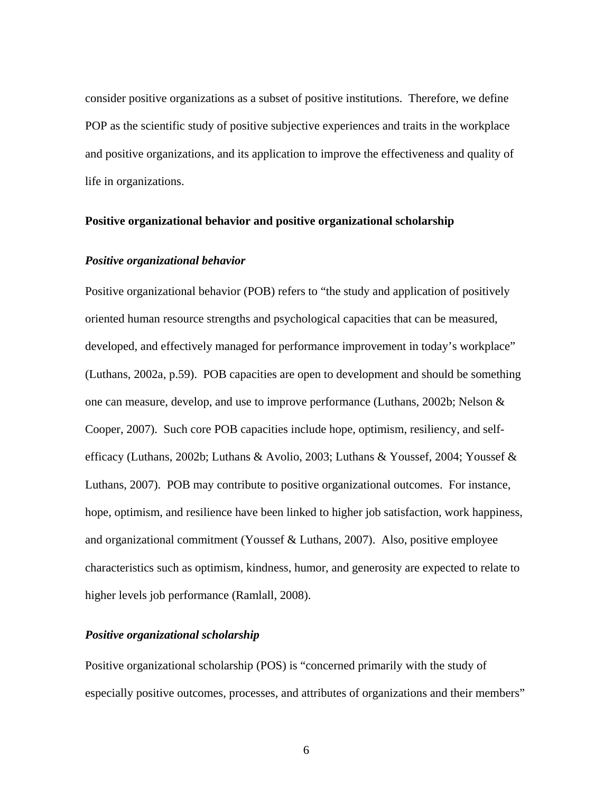consider positive organizations as a subset of positive institutions. Therefore, we define POP as the scientific study of positive subjective experiences and traits in the workplace and positive organizations, and its application to improve the effectiveness and quality of life in organizations.

## **Positive organizational behavior and positive organizational scholarship**

## *Positive organizational behavior*

Positive organizational behavior (POB) refers to "the study and application of positively oriented human resource strengths and psychological capacities that can be measured, developed, and effectively managed for performance improvement in today's workplace" (Luthans, 2002a, p.59). POB capacities are open to development and should be something one can measure, develop, and use to improve performance (Luthans, 2002b; Nelson & Cooper, 2007). Such core POB capacities include hope, optimism, resiliency, and selfefficacy (Luthans, 2002b; Luthans & Avolio, 2003; Luthans & Youssef, 2004; Youssef & Luthans, 2007). POB may contribute to positive organizational outcomes. For instance, hope, optimism, and resilience have been linked to higher job satisfaction, work happiness, and organizational commitment (Youssef & Luthans, 2007). Also, positive employee characteristics such as optimism, kindness, humor, and generosity are expected to relate to higher levels job performance (Ramlall, 2008).

## *Positive organizational scholarship*

Positive organizational scholarship (POS) is "concerned primarily with the study of especially positive outcomes, processes, and attributes of organizations and their members"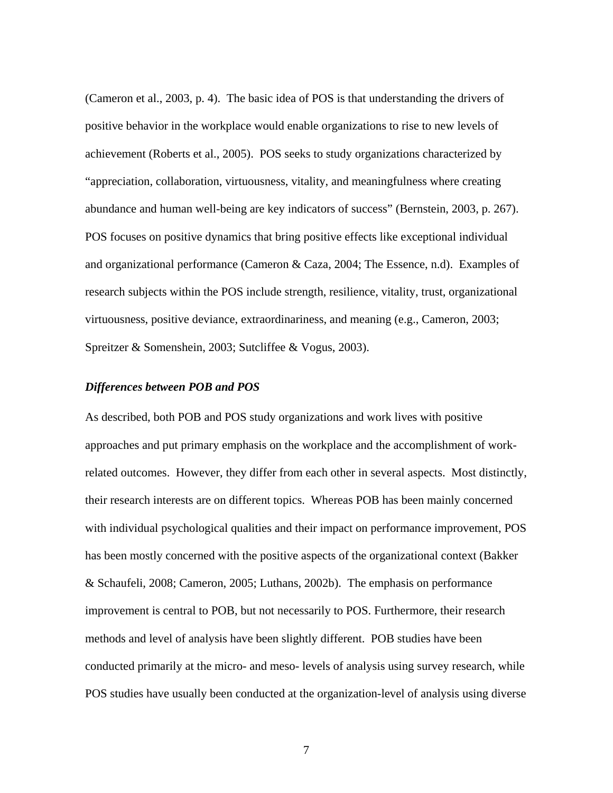(Cameron et al., 2003, p. 4). The basic idea of POS is that understanding the drivers of positive behavior in the workplace would enable organizations to rise to new levels of achievement (Roberts et al., 2005). POS seeks to study organizations characterized by "appreciation, collaboration, virtuousness, vitality, and meaningfulness where creating abundance and human well-being are key indicators of success" (Bernstein, 2003, p. 267). POS focuses on positive dynamics that bring positive effects like exceptional individual and organizational performance (Cameron & Caza, 2004; The Essence, n.d). Examples of research subjects within the POS include strength, resilience, vitality, trust, organizational virtuousness, positive deviance, extraordinariness, and meaning (e.g., Cameron, 2003; Spreitzer & Somenshein, 2003; Sutcliffee & Vogus, 2003).

#### *Differences between POB and POS*

As described, both POB and POS study organizations and work lives with positive approaches and put primary emphasis on the workplace and the accomplishment of workrelated outcomes. However, they differ from each other in several aspects. Most distinctly, their research interests are on different topics. Whereas POB has been mainly concerned with individual psychological qualities and their impact on performance improvement, POS has been mostly concerned with the positive aspects of the organizational context (Bakker & Schaufeli, 2008; Cameron, 2005; Luthans, 2002b). The emphasis on performance improvement is central to POB, but not necessarily to POS. Furthermore, their research methods and level of analysis have been slightly different. POB studies have been conducted primarily at the micro- and meso- levels of analysis using survey research, while POS studies have usually been conducted at the organization-level of analysis using diverse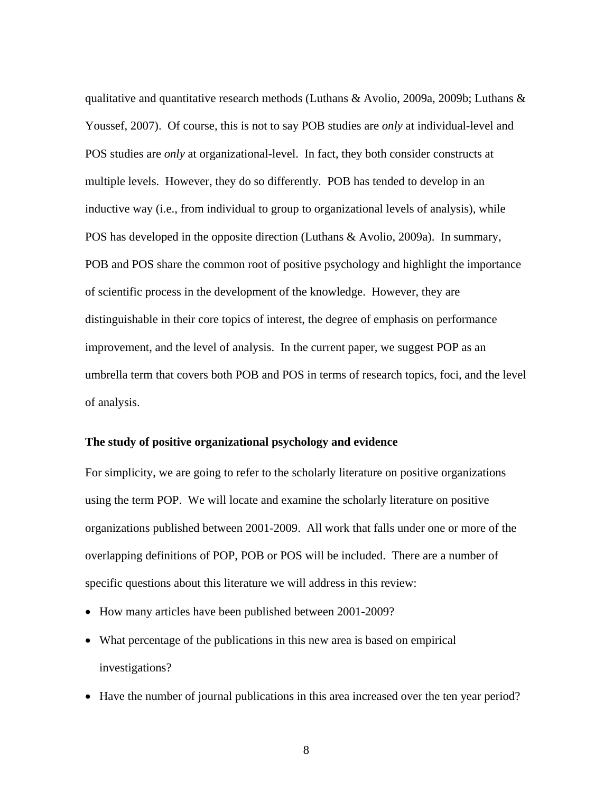qualitative and quantitative research methods (Luthans & Avolio, 2009a, 2009b; Luthans & Youssef, 2007). Of course, this is not to say POB studies are *only* at individual-level and POS studies are *only* at organizational-level. In fact, they both consider constructs at multiple levels. However, they do so differently. POB has tended to develop in an inductive way (i.e., from individual to group to organizational levels of analysis), while POS has developed in the opposite direction (Luthans & Avolio, 2009a). In summary, POB and POS share the common root of positive psychology and highlight the importance of scientific process in the development of the knowledge. However, they are distinguishable in their core topics of interest, the degree of emphasis on performance improvement, and the level of analysis. In the current paper, we suggest POP as an umbrella term that covers both POB and POS in terms of research topics, foci, and the level of analysis.

#### **The study of positive organizational psychology and evidence**

For simplicity, we are going to refer to the scholarly literature on positive organizations using the term POP. We will locate and examine the scholarly literature on positive organizations published between 2001-2009. All work that falls under one or more of the overlapping definitions of POP, POB or POS will be included. There are a number of specific questions about this literature we will address in this review:

- How many articles have been published between 2001-2009?
- What percentage of the publications in this new area is based on empirical investigations?
- Have the number of journal publications in this area increased over the ten year period?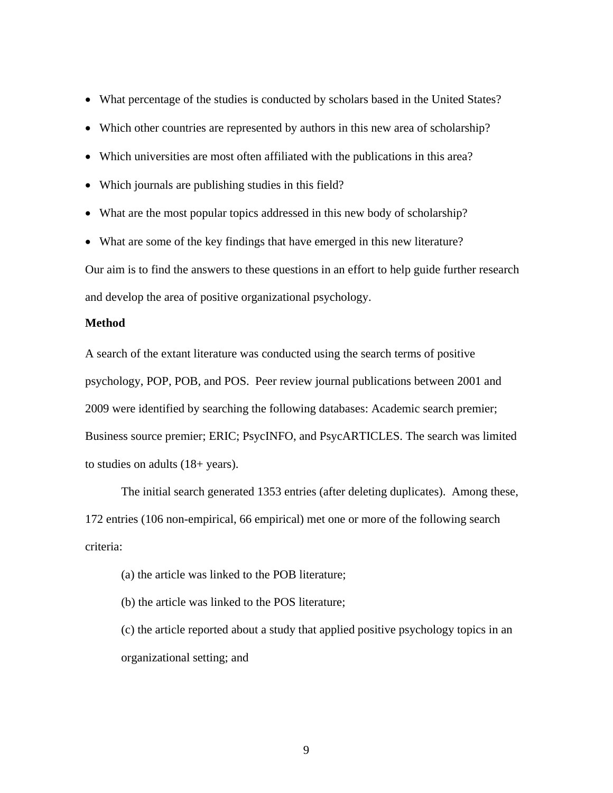- What percentage of the studies is conducted by scholars based in the United States?
- Which other countries are represented by authors in this new area of scholarship?
- Which universities are most often affiliated with the publications in this area?
- Which journals are publishing studies in this field?
- What are the most popular topics addressed in this new body of scholarship?
- What are some of the key findings that have emerged in this new literature?

Our aim is to find the answers to these questions in an effort to help guide further research and develop the area of positive organizational psychology.

## **Method**

A search of the extant literature was conducted using the search terms of positive psychology, POP, POB, and POS. Peer review journal publications between 2001 and 2009 were identified by searching the following databases: Academic search premier; Business source premier; ERIC; PsycINFO, and PsycARTICLES. The search was limited to studies on adults (18+ years).

The initial search generated 1353 entries (after deleting duplicates).Among these, 172 entries (106 non-empirical, 66 empirical) met one or more of the following search criteria:

- (a) the article was linked to the POB literature;
- (b) the article was linked to the POS literature;

(c) the article reported about a study that applied positive psychology topics in an organizational setting; and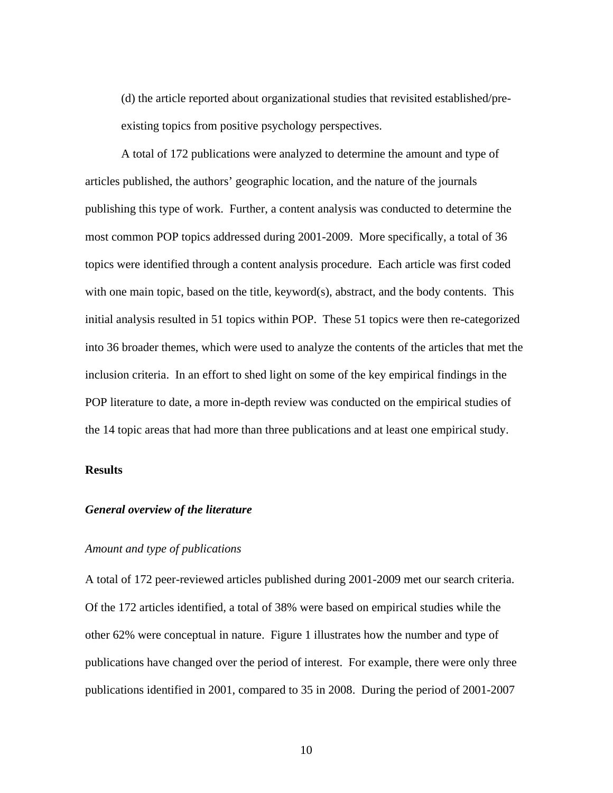(d) the article reported about organizational studies that revisited established/preexisting topics from positive psychology perspectives.

A total of 172 publications were analyzed to determine the amount and type of articles published, the authors' geographic location, and the nature of the journals publishing this type of work. Further, a content analysis was conducted to determine the most common POP topics addressed during 2001-2009. More specifically, a total of 36 topics were identified through a content analysis procedure. Each article was first coded with one main topic, based on the title, keyword(s), abstract, and the body contents. This initial analysis resulted in 51 topics within POP. These 51 topics were then re-categorized into 36 broader themes, which were used to analyze the contents of the articles that met the inclusion criteria. In an effort to shed light on some of the key empirical findings in the POP literature to date, a more in-depth review was conducted on the empirical studies of the 14 topic areas that had more than three publications and at least one empirical study.

## **Results**

## *General overview of the literature*

## *Amount and type of publications*

A total of 172 peer-reviewed articles published during 2001-2009 met our search criteria. Of the 172 articles identified, a total of 38% were based on empirical studies while the other 62% were conceptual in nature. Figure 1 illustrates how the number and type of publications have changed over the period of interest. For example, there were only three publications identified in 2001, compared to 35 in 2008. During the period of 2001-2007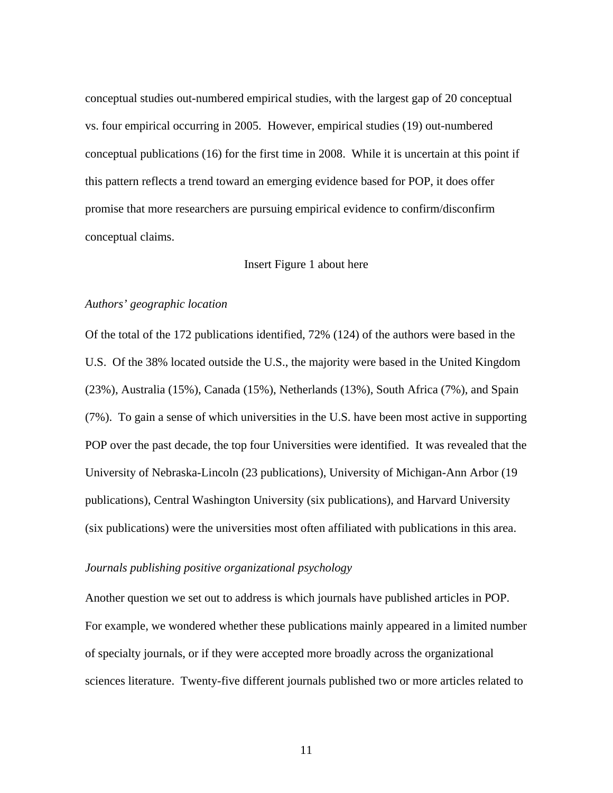conceptual studies out-numbered empirical studies, with the largest gap of 20 conceptual vs. four empirical occurring in 2005. However, empirical studies (19) out-numbered conceptual publications (16) for the first time in 2008. While it is uncertain at this point if this pattern reflects a trend toward an emerging evidence based for POP, it does offer promise that more researchers are pursuing empirical evidence to confirm/disconfirm conceptual claims.

## Insert Figure 1 about here

#### *Authors' geographic location*

Of the total of the 172 publications identified, 72% (124) of the authors were based in the U.S. Of the 38% located outside the U.S., the majority were based in the United Kingdom (23%), Australia (15%), Canada (15%), Netherlands (13%), South Africa (7%), and Spain (7%). To gain a sense of which universities in the U.S. have been most active in supporting POP over the past decade, the top four Universities were identified. It was revealed that the University of Nebraska-Lincoln (23 publications), University of Michigan-Ann Arbor (19 publications), Central Washington University (six publications), and Harvard University (six publications) were the universities most often affiliated with publications in this area.

## *Journals publishing positive organizational psychology*

Another question we set out to address is which journals have published articles in POP. For example, we wondered whether these publications mainly appeared in a limited number of specialty journals, or if they were accepted more broadly across the organizational sciences literature. Twenty-five different journals published two or more articles related to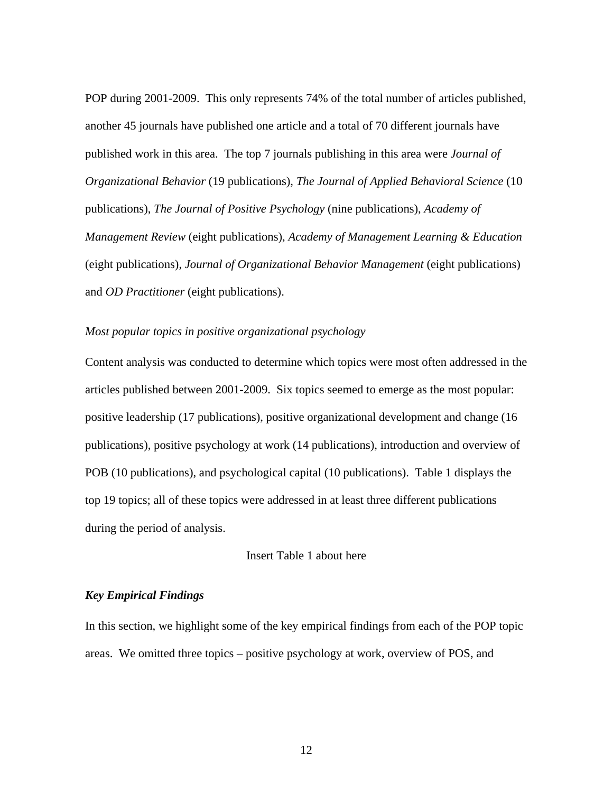POP during 2001-2009. This only represents 74% of the total number of articles published, another 45 journals have published one article and a total of 70 different journals have published work in this area. The top 7 journals publishing in this area were *Journal of Organizational Behavior* (19 publications), *The Journal of Applied Behavioral Science* (10 publications), *The Journal of Positive Psychology* (nine publications), *Academy of Management Review* (eight publications), *Academy of Management Learning & Education* (eight publications), *Journal of Organizational Behavior Management* (eight publications) and *OD Practitioner* (eight publications).

## *Most popular topics in positive organizational psychology*

Content analysis was conducted to determine which topics were most often addressed in the articles published between 2001-2009. Six topics seemed to emerge as the most popular: positive leadership (17 publications), positive organizational development and change (16 publications), positive psychology at work (14 publications), introduction and overview of POB (10 publications), and psychological capital (10 publications). Table 1 displays the top 19 topics; all of these topics were addressed in at least three different publications during the period of analysis.

## Insert Table 1 about here

## *Key Empirical Findings*

In this section, we highlight some of the key empirical findings from each of the POP topic areas. We omitted three topics – positive psychology at work, overview of POS, and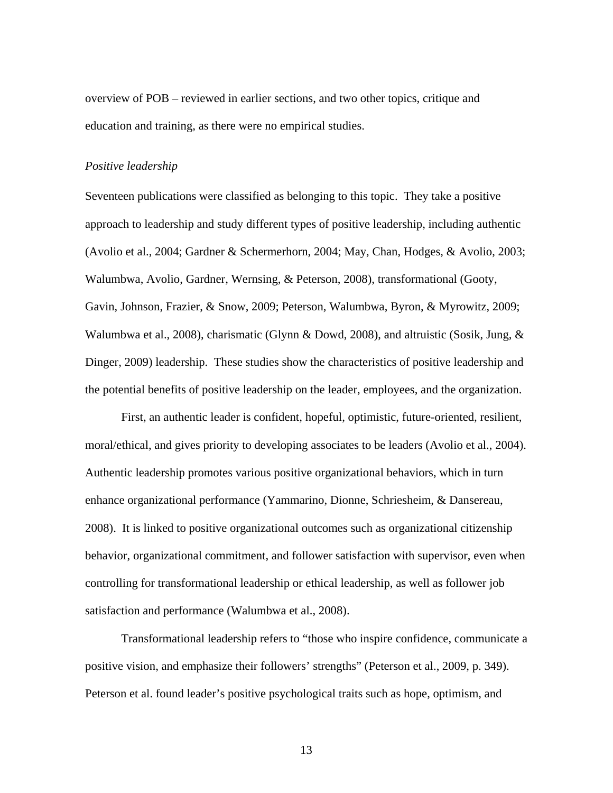overview of POB – reviewed in earlier sections, and two other topics, critique and education and training, as there were no empirical studies.

#### *Positive leadership*

Seventeen publications were classified as belonging to this topic. They take a positive approach to leadership and study different types of positive leadership, including authentic (Avolio et al., 2004; Gardner & Schermerhorn, 2004; May, Chan, Hodges, & Avolio, 2003; Walumbwa, Avolio, Gardner, Wernsing, & Peterson, 2008), transformational (Gooty, Gavin, Johnson, Frazier, & Snow, 2009; Peterson, Walumbwa, Byron, & Myrowitz, 2009; Walumbwa et al., 2008), charismatic (Glynn & Dowd, 2008), and altruistic (Sosik, Jung, & Dinger, 2009) leadership. These studies show the characteristics of positive leadership and the potential benefits of positive leadership on the leader, employees, and the organization.

First, an authentic leader is confident, hopeful, optimistic, future-oriented, resilient, moral/ethical, and gives priority to developing associates to be leaders (Avolio et al., 2004). Authentic leadership promotes various positive organizational behaviors, which in turn enhance organizational performance (Yammarino, Dionne, Schriesheim, & Dansereau, 2008). It is linked to positive organizational outcomes such as organizational citizenship behavior, organizational commitment, and follower satisfaction with supervisor, even when controlling for transformational leadership or ethical leadership, as well as follower job satisfaction and performance (Walumbwa et al., 2008).

Transformational leadership refers to "those who inspire confidence, communicate a positive vision, and emphasize their followers' strengths" (Peterson et al., 2009, p. 349). Peterson et al. found leader's positive psychological traits such as hope, optimism, and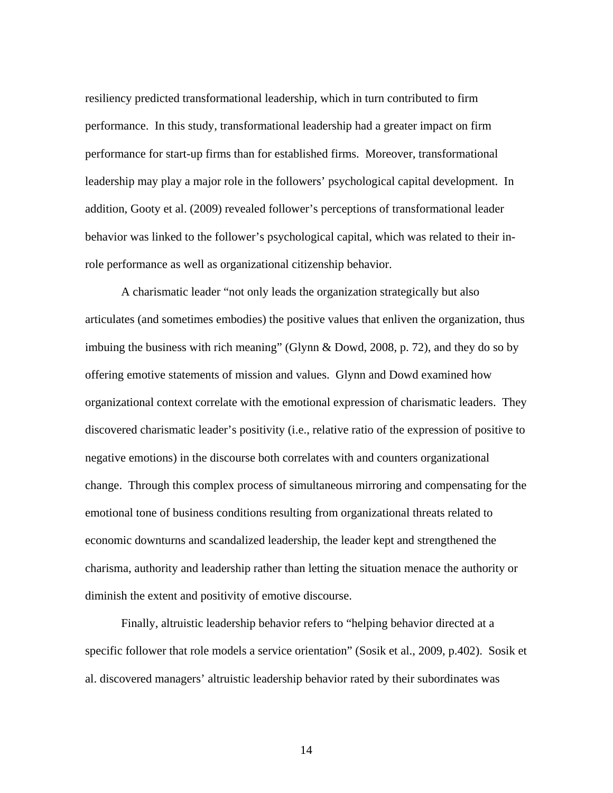resiliency predicted transformational leadership, which in turn contributed to firm performance. In this study, transformational leadership had a greater impact on firm performance for start-up firms than for established firms. Moreover, transformational leadership may play a major role in the followers' psychological capital development. In addition, Gooty et al. (2009) revealed follower's perceptions of transformational leader behavior was linked to the follower's psychological capital, which was related to their inrole performance as well as organizational citizenship behavior.

A charismatic leader "not only leads the organization strategically but also articulates (and sometimes embodies) the positive values that enliven the organization, thus imbuing the business with rich meaning" (Glynn & Dowd, 2008, p. 72), and they do so by offering emotive statements of mission and values. Glynn and Dowd examined how organizational context correlate with the emotional expression of charismatic leaders. They discovered charismatic leader's positivity (i.e., relative ratio of the expression of positive to negative emotions) in the discourse both correlates with and counters organizational change. Through this complex process of simultaneous mirroring and compensating for the emotional tone of business conditions resulting from organizational threats related to economic downturns and scandalized leadership, the leader kept and strengthened the charisma, authority and leadership rather than letting the situation menace the authority or diminish the extent and positivity of emotive discourse.

Finally, altruistic leadership behavior refers to "helping behavior directed at a specific follower that role models a service orientation" (Sosik et al., 2009, p.402). Sosik et al. discovered managers' altruistic leadership behavior rated by their subordinates was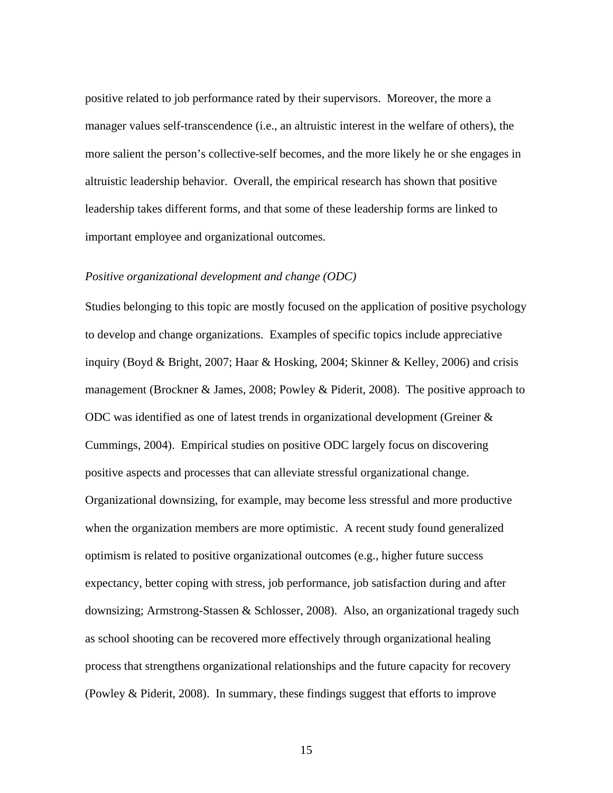positive related to job performance rated by their supervisors. Moreover, the more a manager values self-transcendence (i.e., an altruistic interest in the welfare of others), the more salient the person's collective-self becomes, and the more likely he or she engages in altruistic leadership behavior. Overall, the empirical research has shown that positive leadership takes different forms, and that some of these leadership forms are linked to important employee and organizational outcomes.

## *Positive organizational development and change (ODC)*

Studies belonging to this topic are mostly focused on the application of positive psychology to develop and change organizations. Examples of specific topics include appreciative inquiry (Boyd & Bright, 2007; Haar & Hosking, 2004; Skinner & Kelley, 2006) and crisis management (Brockner & James, 2008; Powley & Piderit, 2008). The positive approach to ODC was identified as one of latest trends in organizational development (Greiner & Cummings, 2004). Empirical studies on positive ODC largely focus on discovering positive aspects and processes that can alleviate stressful organizational change. Organizational downsizing, for example, may become less stressful and more productive when the organization members are more optimistic. A recent study found generalized optimism is related to positive organizational outcomes (e.g., higher future success expectancy, better coping with stress, job performance, job satisfaction during and after downsizing; Armstrong-Stassen & Schlosser, 2008). Also, an organizational tragedy such as school shooting can be recovered more effectively through organizational healing process that strengthens organizational relationships and the future capacity for recovery (Powley & Piderit, 2008). In summary, these findings suggest that efforts to improve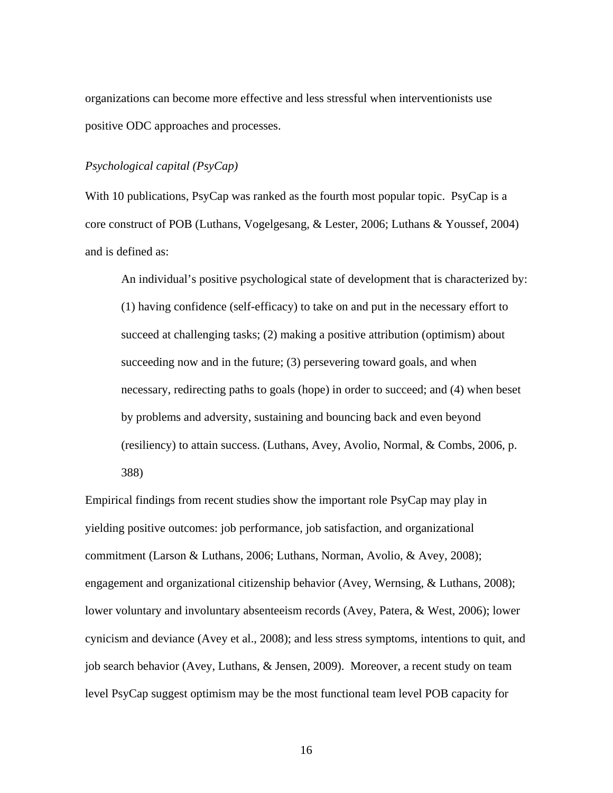organizations can become more effective and less stressful when interventionists use positive ODC approaches and processes.

## *Psychological capital (PsyCap)*

With 10 publications, PsyCap was ranked as the fourth most popular topic. PsyCap is a core construct of POB (Luthans, Vogelgesang, & Lester, 2006; Luthans & Youssef, 2004) and is defined as:

An individual's positive psychological state of development that is characterized by: (1) having confidence (self-efficacy) to take on and put in the necessary effort to succeed at challenging tasks; (2) making a positive attribution (optimism) about succeeding now and in the future; (3) persevering toward goals, and when necessary, redirecting paths to goals (hope) in order to succeed; and (4) when beset by problems and adversity, sustaining and bouncing back and even beyond (resiliency) to attain success. (Luthans, Avey, Avolio, Normal, & Combs, 2006, p. 388)

Empirical findings from recent studies show the important role PsyCap may play in yielding positive outcomes: job performance, job satisfaction, and organizational commitment (Larson & Luthans, 2006; Luthans, Norman, Avolio, & Avey, 2008); engagement and organizational citizenship behavior (Avey, Wernsing, & Luthans, 2008); lower voluntary and involuntary absenteeism records (Avey, Patera, & West, 2006); lower cynicism and deviance (Avey et al., 2008); and less stress symptoms, intentions to quit, and job search behavior (Avey, Luthans, & Jensen, 2009). Moreover, a recent study on team level PsyCap suggest optimism may be the most functional team level POB capacity for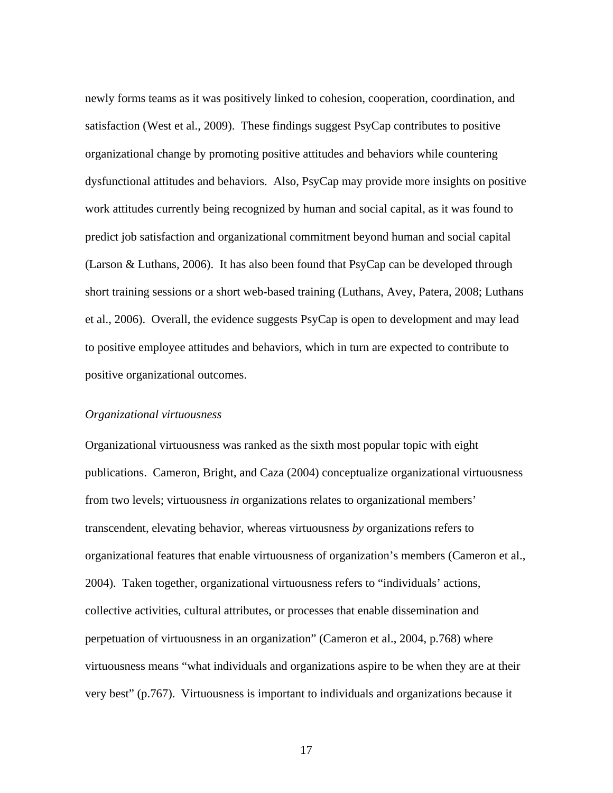newly forms teams as it was positively linked to cohesion, cooperation, coordination, and satisfaction (West et al., 2009). These findings suggest PsyCap contributes to positive organizational change by promoting positive attitudes and behaviors while countering dysfunctional attitudes and behaviors. Also, PsyCap may provide more insights on positive work attitudes currently being recognized by human and social capital, as it was found to predict job satisfaction and organizational commitment beyond human and social capital (Larson & Luthans, 2006). It has also been found that PsyCap can be developed through short training sessions or a short web-based training (Luthans, Avey, Patera, 2008; Luthans et al., 2006). Overall, the evidence suggests PsyCap is open to development and may lead to positive employee attitudes and behaviors, which in turn are expected to contribute to positive organizational outcomes.

## *Organizational virtuousness*

Organizational virtuousness was ranked as the sixth most popular topic with eight publications. Cameron, Bright, and Caza (2004) conceptualize organizational virtuousness from two levels; virtuousness *in* organizations relates to organizational members' transcendent, elevating behavior, whereas virtuousness *by* organizations refers to organizational features that enable virtuousness of organization's members (Cameron et al., 2004). Taken together, organizational virtuousness refers to "individuals' actions, collective activities, cultural attributes, or processes that enable dissemination and perpetuation of virtuousness in an organization" (Cameron et al., 2004, p.768) where virtuousness means "what individuals and organizations aspire to be when they are at their very best" (p.767). Virtuousness is important to individuals and organizations because it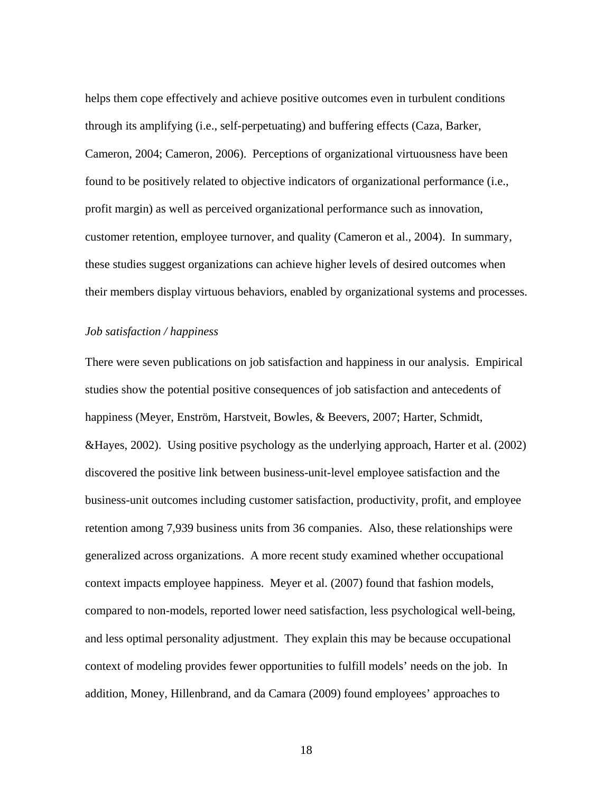helps them cope effectively and achieve positive outcomes even in turbulent conditions through its amplifying (i.e., self-perpetuating) and buffering effects (Caza, Barker, Cameron, 2004; Cameron, 2006). Perceptions of organizational virtuousness have been found to be positively related to objective indicators of organizational performance (i.e., profit margin) as well as perceived organizational performance such as innovation, customer retention, employee turnover, and quality (Cameron et al., 2004). In summary, these studies suggest organizations can achieve higher levels of desired outcomes when their members display virtuous behaviors, enabled by organizational systems and processes.

## *Job satisfaction / happiness*

There were seven publications on job satisfaction and happiness in our analysis. Empirical studies show the potential positive consequences of job satisfaction and antecedents of happiness (Meyer, Enström, Harstveit, Bowles, & Beevers, 2007; Harter, Schmidt, &Hayes, 2002). Using positive psychology as the underlying approach, Harter et al. (2002) discovered the positive link between business-unit-level employee satisfaction and the business-unit outcomes including customer satisfaction, productivity, profit, and employee retention among 7,939 business units from 36 companies. Also, these relationships were generalized across organizations. A more recent study examined whether occupational context impacts employee happiness. Meyer et al. (2007) found that fashion models, compared to non-models, reported lower need satisfaction, less psychological well-being, and less optimal personality adjustment. They explain this may be because occupational context of modeling provides fewer opportunities to fulfill models' needs on the job. In addition, Money, Hillenbrand, and da Camara (2009) found employees' approaches to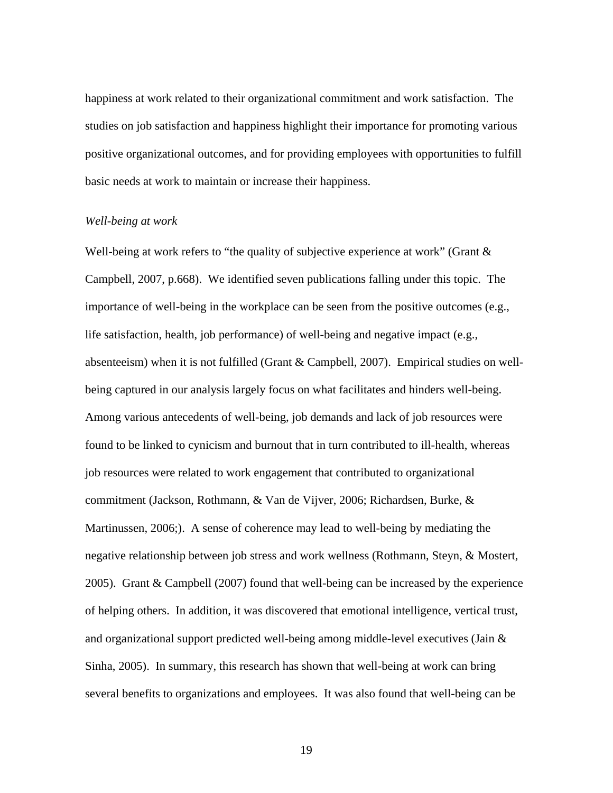happiness at work related to their organizational commitment and work satisfaction. The studies on job satisfaction and happiness highlight their importance for promoting various positive organizational outcomes, and for providing employees with opportunities to fulfill basic needs at work to maintain or increase their happiness.

## *Well-being at work*

Well-being at work refers to "the quality of subjective experience at work" (Grant & Campbell, 2007, p.668). We identified seven publications falling under this topic. The importance of well-being in the workplace can be seen from the positive outcomes (e.g., life satisfaction, health, job performance) of well-being and negative impact (e.g., absenteeism) when it is not fulfilled (Grant & Campbell, 2007). Empirical studies on wellbeing captured in our analysis largely focus on what facilitates and hinders well-being. Among various antecedents of well-being, job demands and lack of job resources were found to be linked to cynicism and burnout that in turn contributed to ill-health, whereas job resources were related to work engagement that contributed to organizational commitment (Jackson, Rothmann, & Van de Vijver, 2006; Richardsen, Burke, & Martinussen, 2006;). A sense of coherence may lead to well-being by mediating the negative relationship between job stress and work wellness (Rothmann, Steyn, & Mostert, 2005). Grant & Campbell (2007) found that well-being can be increased by the experience of helping others. In addition, it was discovered that emotional intelligence, vertical trust, and organizational support predicted well-being among middle-level executives (Jain & Sinha, 2005). In summary, this research has shown that well-being at work can bring several benefits to organizations and employees. It was also found that well-being can be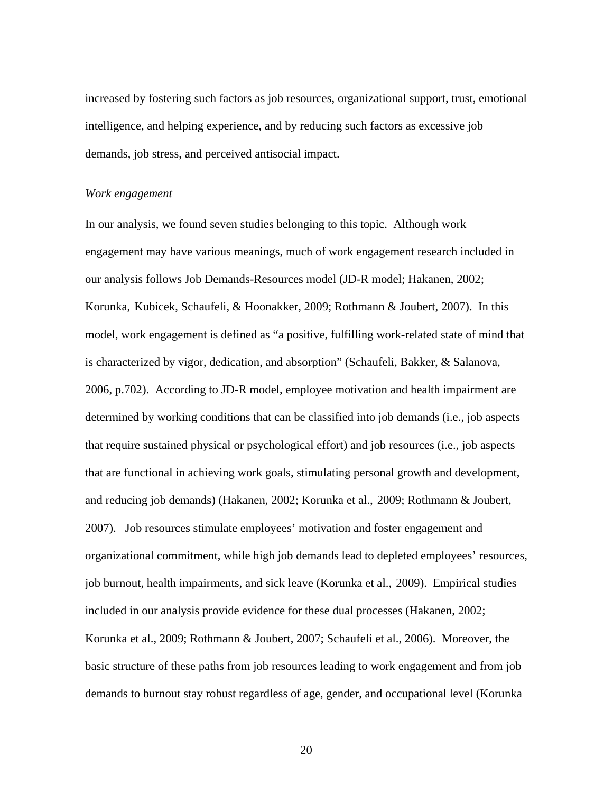increased by fostering such factors as job resources, organizational support, trust, emotional intelligence, and helping experience, and by reducing such factors as excessive job demands, job stress, and perceived antisocial impact.

#### *Work engagement*

In our analysis, we found seven studies belonging to this topic. Although work engagement may have various meanings, much of work engagement research included in our analysis follows Job Demands-Resources model (JD-R model; Hakanen, 2002; Korunka, Kubicek, Schaufeli, & Hoonakker, 2009; Rothmann & Joubert, 2007). In this model, work engagement is defined as "a positive, fulfilling work-related state of mind that is characterized by vigor, dedication, and absorption" (Schaufeli, Bakker, & Salanova, 2006, p.702). According to JD-R model, employee motivation and health impairment are determined by working conditions that can be classified into job demands (i.e., job aspects that require sustained physical or psychological effort) and job resources (i.e., job aspects that are functional in achieving work goals, stimulating personal growth and development, and reducing job demands) (Hakanen, 2002; Korunka et al., 2009; Rothmann & Joubert, 2007). Job resources stimulate employees' motivation and foster engagement and organizational commitment, while high job demands lead to depleted employees' resources, job burnout, health impairments, and sick leave (Korunka et al., 2009). Empirical studies included in our analysis provide evidence for these dual processes (Hakanen, 2002; Korunka et al., 2009; Rothmann & Joubert, 2007; Schaufeli et al., 2006). Moreover, the basic structure of these paths from job resources leading to work engagement and from job demands to burnout stay robust regardless of age, gender, and occupational level (Korunka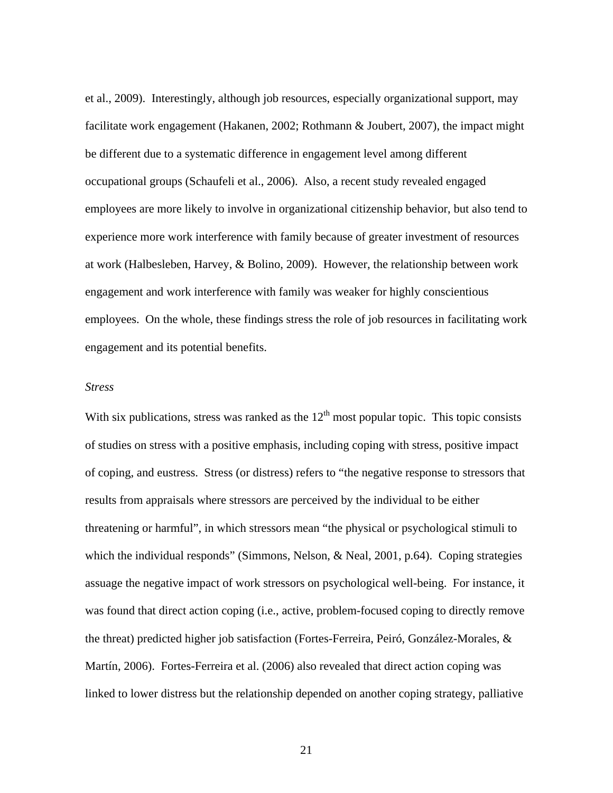et al., 2009). Interestingly, although job resources, especially organizational support, may facilitate work engagement (Hakanen, 2002; Rothmann & Joubert, 2007), the impact might be different due to a systematic difference in engagement level among different occupational groups (Schaufeli et al., 2006). Also, a recent study revealed engaged employees are more likely to involve in organizational citizenship behavior, but also tend to experience more work interference with family because of greater investment of resources at work (Halbesleben, Harvey, & Bolino, 2009). However, the relationship between work engagement and work interference with family was weaker for highly conscientious employees. On the whole, these findings stress the role of job resources in facilitating work engagement and its potential benefits.

#### *Stress*

With six publications, stress was ranked as the  $12<sup>th</sup>$  most popular topic. This topic consists of studies on stress with a positive emphasis, including coping with stress, positive impact of coping, and eustress. Stress (or distress) refers to "the negative response to stressors that results from appraisals where stressors are perceived by the individual to be either threatening or harmful", in which stressors mean "the physical or psychological stimuli to which the individual responds" (Simmons, Nelson, & Neal, 2001, p.64). Coping strategies assuage the negative impact of work stressors on psychological well-being. For instance, it was found that direct action coping (i.e., active, problem-focused coping to directly remove the threat) predicted higher job satisfaction (Fortes-Ferreira, Peiró, González-Morales, & Martín, 2006). Fortes-Ferreira et al. (2006) also revealed that direct action coping was linked to lower distress but the relationship depended on another coping strategy, palliative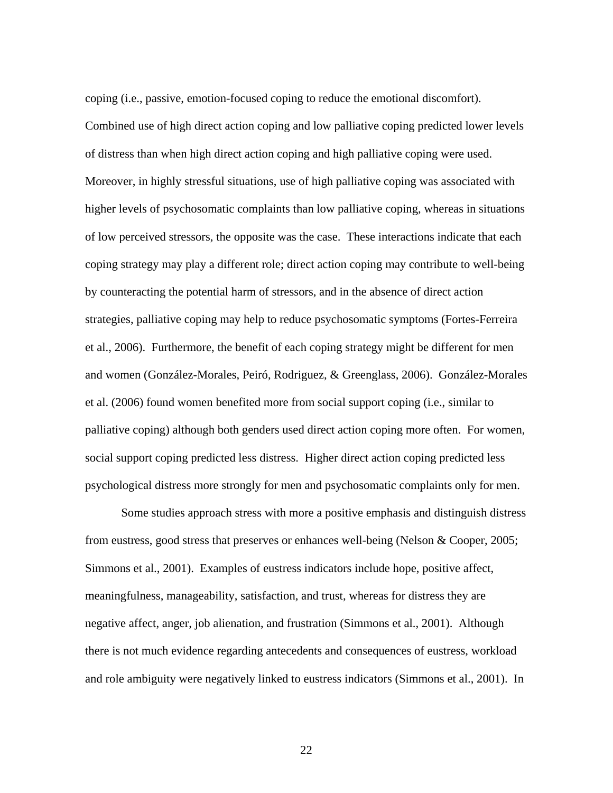coping (i.e., passive, emotion-focused coping to reduce the emotional discomfort). Combined use of high direct action coping and low palliative coping predicted lower levels of distress than when high direct action coping and high palliative coping were used. Moreover, in highly stressful situations, use of high palliative coping was associated with higher levels of psychosomatic complaints than low palliative coping, whereas in situations of low perceived stressors, the opposite was the case. These interactions indicate that each coping strategy may play a different role; direct action coping may contribute to well-being by counteracting the potential harm of stressors, and in the absence of direct action strategies, palliative coping may help to reduce psychosomatic symptoms (Fortes-Ferreira et al., 2006). Furthermore, the benefit of each coping strategy might be different for men and women (González-Morales, Peiró, Rodriguez, & Greenglass, 2006). González-Morales et al. (2006) found women benefited more from social support coping (i.e., similar to palliative coping) although both genders used direct action coping more often. For women, social support coping predicted less distress. Higher direct action coping predicted less psychological distress more strongly for men and psychosomatic complaints only for men.

Some studies approach stress with more a positive emphasis and distinguish distress from eustress, good stress that preserves or enhances well-being (Nelson & Cooper, 2005; Simmons et al., 2001). Examples of eustress indicators include hope, positive affect, meaningfulness, manageability, satisfaction, and trust, whereas for distress they are negative affect, anger, job alienation, and frustration (Simmons et al., 2001). Although there is not much evidence regarding antecedents and consequences of eustress, workload and role ambiguity were negatively linked to eustress indicators (Simmons et al., 2001). In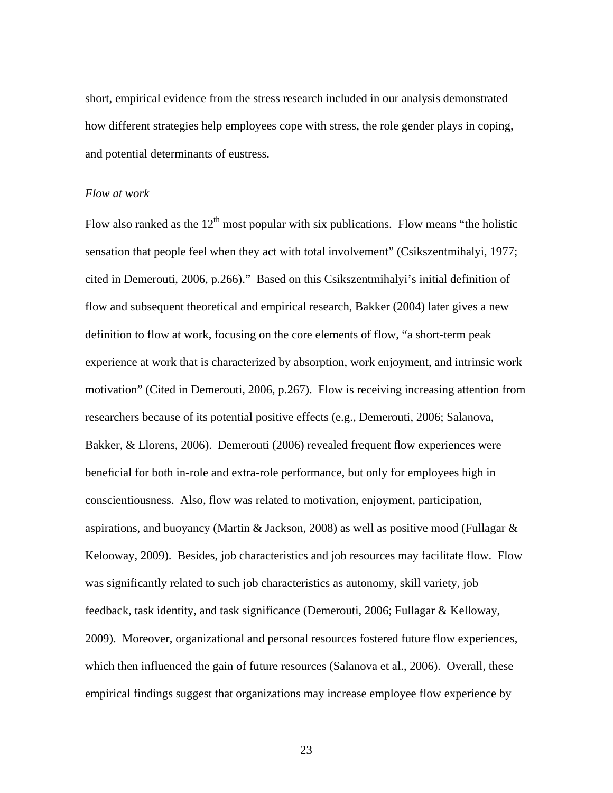short, empirical evidence from the stress research included in our analysis demonstrated how different strategies help employees cope with stress, the role gender plays in coping, and potential determinants of eustress.

#### *Flow at work*

Flow also ranked as the  $12<sup>th</sup>$  most popular with six publications. Flow means "the holistic sensation that people feel when they act with total involvement" (Csikszentmihalyi, 1977; cited in Demerouti, 2006, p.266)." Based on this Csikszentmihalyi's initial definition of flow and subsequent theoretical and empirical research, Bakker (2004) later gives a new definition to flow at work, focusing on the core elements of flow, "a short-term peak experience at work that is characterized by absorption, work enjoyment, and intrinsic work motivation" (Cited in Demerouti, 2006, p.267). Flow is receiving increasing attention from researchers because of its potential positive effects (e.g., Demerouti, 2006; Salanova, Bakker, & Llorens, 2006). Demerouti (2006) revealed frequent flow experiences were beneficial for both in-role and extra-role performance, but only for employees high in conscientiousness. Also, flow was related to motivation, enjoyment, participation, aspirations, and buoyancy (Martin & Jackson, 2008) as well as positive mood (Fullagar & Kelooway, 2009). Besides, job characteristics and job resources may facilitate flow. Flow was significantly related to such job characteristics as autonomy, skill variety, job feedback, task identity, and task significance (Demerouti, 2006; Fullagar & Kelloway, 2009). Moreover, organizational and personal resources fostered future flow experiences, which then influenced the gain of future resources (Salanova et al., 2006). Overall, these empirical findings suggest that organizations may increase employee flow experience by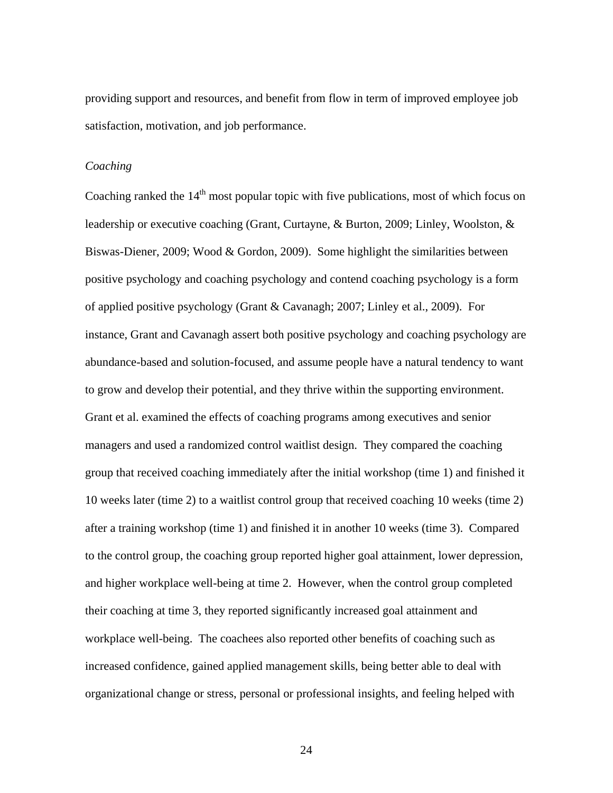providing support and resources, and benefit from flow in term of improved employee job satisfaction, motivation, and job performance.

#### *Coaching*

Coaching ranked the  $14<sup>th</sup>$  most popular topic with five publications, most of which focus on leadership or executive coaching (Grant, Curtayne, & Burton, 2009; Linley, Woolston, & Biswas-Diener, 2009; Wood & Gordon, 2009). Some highlight the similarities between positive psychology and coaching psychology and contend coaching psychology is a form of applied positive psychology (Grant & Cavanagh; 2007; Linley et al., 2009). For instance, Grant and Cavanagh assert both positive psychology and coaching psychology are abundance-based and solution-focused, and assume people have a natural tendency to want to grow and develop their potential, and they thrive within the supporting environment. Grant et al. examined the effects of coaching programs among executives and senior managers and used a randomized control waitlist design. They compared the coaching group that received coaching immediately after the initial workshop (time 1) and finished it 10 weeks later (time 2) to a waitlist control group that received coaching 10 weeks (time 2) after a training workshop (time 1) and finished it in another 10 weeks (time 3). Compared to the control group, the coaching group reported higher goal attainment, lower depression, and higher workplace well-being at time 2. However, when the control group completed their coaching at time 3, they reported significantly increased goal attainment and workplace well-being. The coachees also reported other benefits of coaching such as increased confidence, gained applied management skills, being better able to deal with organizational change or stress, personal or professional insights, and feeling helped with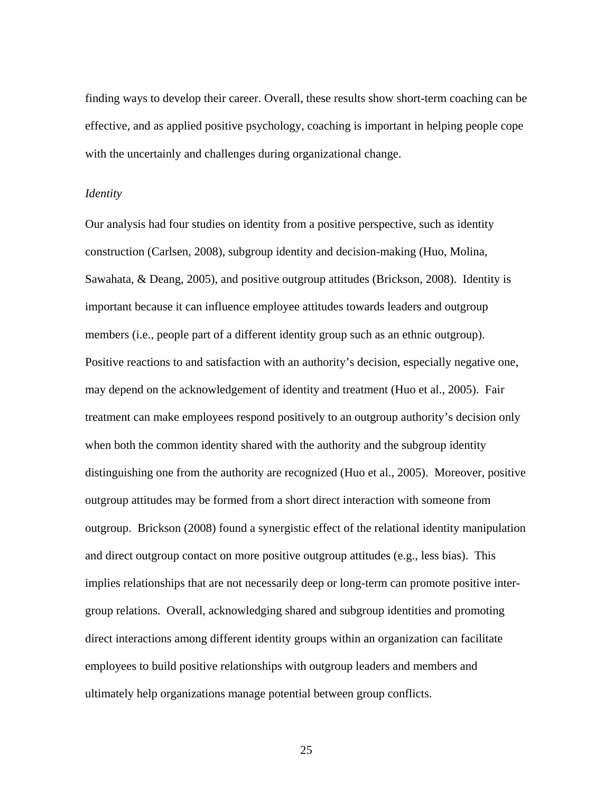finding ways to develop their career. Overall, these results show short-term coaching can be effective, and as applied positive psychology, coaching is important in helping people cope with the uncertainly and challenges during organizational change.

#### *Identity*

Our analysis had four studies on identity from a positive perspective, such as identity construction (Carlsen, 2008), subgroup identity and decision-making (Huo, Molina, Sawahata, & Deang, 2005), and positive outgroup attitudes (Brickson, 2008). Identity is important because it can influence employee attitudes towards leaders and outgroup members (i.e., people part of a different identity group such as an ethnic outgroup). Positive reactions to and satisfaction with an authority's decision, especially negative one, may depend on the acknowledgement of identity and treatment (Huo et al., 2005). Fair treatment can make employees respond positively to an outgroup authority's decision only when both the common identity shared with the authority and the subgroup identity distinguishing one from the authority are recognized (Huo et al., 2005). Moreover, positive outgroup attitudes may be formed from a short direct interaction with someone from outgroup. Brickson (2008) found a synergistic effect of the relational identity manipulation and direct outgroup contact on more positive outgroup attitudes (e.g., less bias). This implies relationships that are not necessarily deep or long-term can promote positive intergroup relations. Overall, acknowledging shared and subgroup identities and promoting direct interactions among different identity groups within an organization can facilitate employees to build positive relationships with outgroup leaders and members and ultimately help organizations manage potential between group conflicts.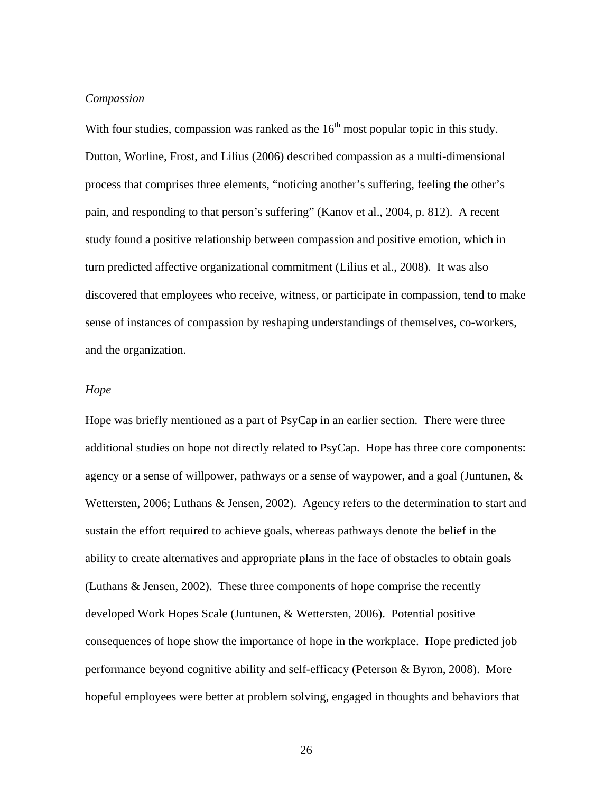## *Compassion*

With four studies, compassion was ranked as the  $16<sup>th</sup>$  most popular topic in this study. Dutton, Worline, Frost, and Lilius (2006) described compassion as a multi-dimensional process that comprises three elements, "noticing another's suffering, feeling the other's pain, and responding to that person's suffering" (Kanov et al., 2004, p. 812). A recent study found a positive relationship between compassion and positive emotion, which in turn predicted affective organizational commitment (Lilius et al., 2008). It was also discovered that employees who receive, witness, or participate in compassion, tend to make sense of instances of compassion by reshaping understandings of themselves, co-workers, and the organization.

#### *Hope*

Hope was briefly mentioned as a part of PsyCap in an earlier section. There were three additional studies on hope not directly related to PsyCap. Hope has three core components: agency or a sense of willpower, pathways or a sense of waypower, and a goal (Juntunen, & Wettersten, 2006; Luthans & Jensen, 2002). Agency refers to the determination to start and sustain the effort required to achieve goals, whereas pathways denote the belief in the ability to create alternatives and appropriate plans in the face of obstacles to obtain goals (Luthans & Jensen, 2002). These three components of hope comprise the recently developed Work Hopes Scale (Juntunen, & Wettersten, 2006). Potential positive consequences of hope show the importance of hope in the workplace. Hope predicted job performance beyond cognitive ability and self-efficacy (Peterson & Byron, 2008). More hopeful employees were better at problem solving, engaged in thoughts and behaviors that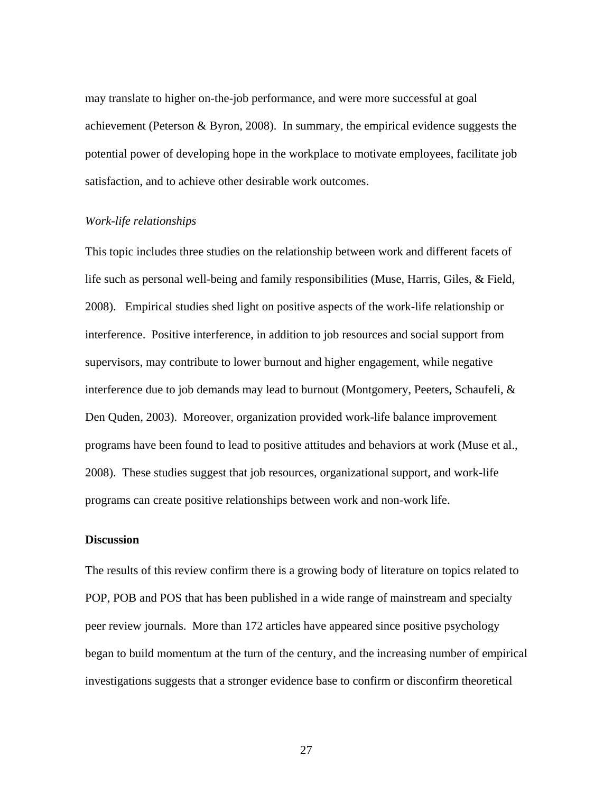may translate to higher on-the-job performance, and were more successful at goal achievement (Peterson & Byron, 2008). In summary, the empirical evidence suggests the potential power of developing hope in the workplace to motivate employees, facilitate job satisfaction, and to achieve other desirable work outcomes.

## *Work-life relationships*

This topic includes three studies on the relationship between work and different facets of life such as personal well-being and family responsibilities (Muse, Harris, Giles, & Field, 2008). Empirical studies shed light on positive aspects of the work-life relationship or interference. Positive interference, in addition to job resources and social support from supervisors, may contribute to lower burnout and higher engagement, while negative interference due to job demands may lead to burnout (Montgomery, Peeters, Schaufeli, & Den Quden, 2003). Moreover, organization provided work-life balance improvement programs have been found to lead to positive attitudes and behaviors at work (Muse et al., 2008). These studies suggest that job resources, organizational support, and work-life programs can create positive relationships between work and non-work life.

#### **Discussion**

The results of this review confirm there is a growing body of literature on topics related to POP, POB and POS that has been published in a wide range of mainstream and specialty peer review journals. More than 172 articles have appeared since positive psychology began to build momentum at the turn of the century, and the increasing number of empirical investigations suggests that a stronger evidence base to confirm or disconfirm theoretical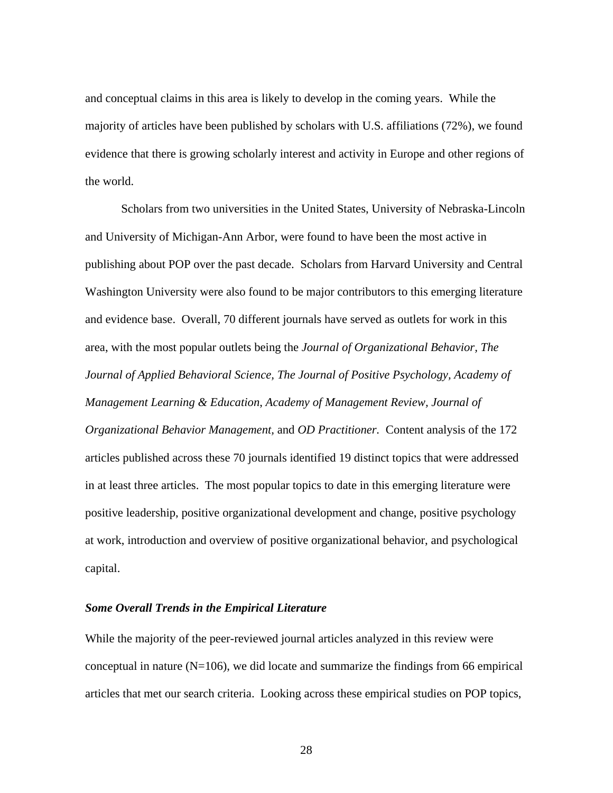and conceptual claims in this area is likely to develop in the coming years. While the majority of articles have been published by scholars with U.S. affiliations (72%), we found evidence that there is growing scholarly interest and activity in Europe and other regions of the world.

Scholars from two universities in the United States, University of Nebraska-Lincoln and University of Michigan-Ann Arbor, were found to have been the most active in publishing about POP over the past decade. Scholars from Harvard University and Central Washington University were also found to be major contributors to this emerging literature and evidence base. Overall, 70 different journals have served as outlets for work in this area, with the most popular outlets being the *Journal of Organizational Behavior, The Journal of Applied Behavioral Science, The Journal of Positive Psychology, Academy of Management Learning & Education*, *Academy of Management Review, Journal of Organizational Behavior Management,* and *OD Practitioner.* Content analysis of the 172 articles published across these 70 journals identified 19 distinct topics that were addressed in at least three articles. The most popular topics to date in this emerging literature were positive leadership, positive organizational development and change, positive psychology at work, introduction and overview of positive organizational behavior, and psychological capital.

## *Some Overall Trends in the Empirical Literature*

While the majority of the peer-reviewed journal articles analyzed in this review were conceptual in nature  $(N=106)$ , we did locate and summarize the findings from 66 empirical articles that met our search criteria. Looking across these empirical studies on POP topics,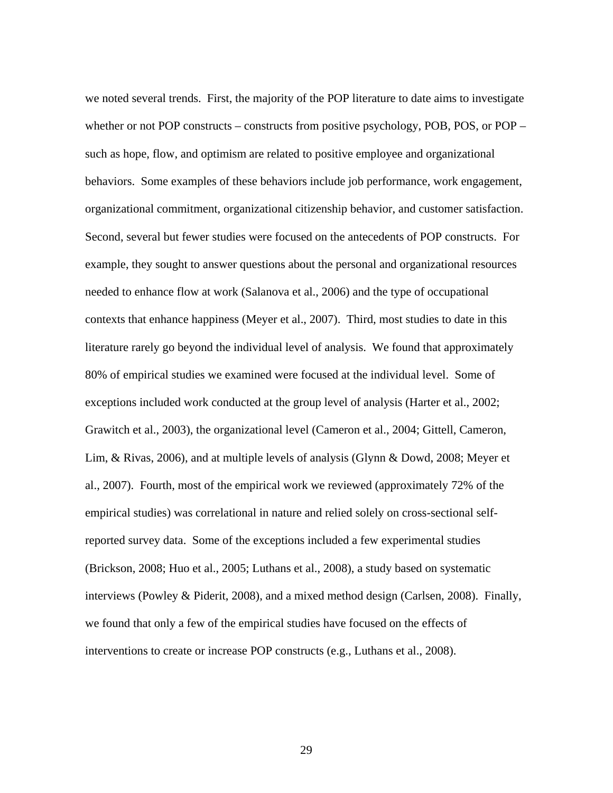we noted several trends. First, the majority of the POP literature to date aims to investigate whether or not POP constructs – constructs from positive psychology, POB, POS, or POP – such as hope, flow, and optimism are related to positive employee and organizational behaviors. Some examples of these behaviors include job performance, work engagement, organizational commitment, organizational citizenship behavior, and customer satisfaction. Second, several but fewer studies were focused on the antecedents of POP constructs. For example, they sought to answer questions about the personal and organizational resources needed to enhance flow at work (Salanova et al., 2006) and the type of occupational contexts that enhance happiness (Meyer et al., 2007). Third, most studies to date in this literature rarely go beyond the individual level of analysis. We found that approximately 80% of empirical studies we examined were focused at the individual level. Some of exceptions included work conducted at the group level of analysis (Harter et al., 2002; Grawitch et al., 2003), the organizational level (Cameron et al., 2004; Gittell, Cameron, Lim, & Rivas, 2006), and at multiple levels of analysis (Glynn & Dowd, 2008; Meyer et al., 2007). Fourth, most of the empirical work we reviewed (approximately 72% of the empirical studies) was correlational in nature and relied solely on cross-sectional selfreported survey data. Some of the exceptions included a few experimental studies (Brickson, 2008; Huo et al., 2005; Luthans et al., 2008), a study based on systematic interviews (Powley & Piderit, 2008), and a mixed method design (Carlsen, 2008). Finally, we found that only a few of the empirical studies have focused on the effects of interventions to create or increase POP constructs (e.g., Luthans et al., 2008).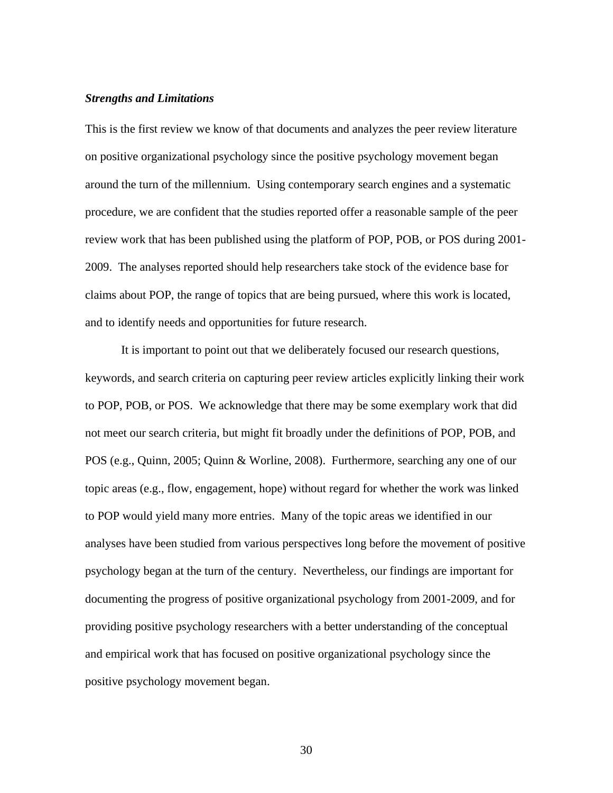#### *Strengths and Limitations*

This is the first review we know of that documents and analyzes the peer review literature on positive organizational psychology since the positive psychology movement began around the turn of the millennium. Using contemporary search engines and a systematic procedure, we are confident that the studies reported offer a reasonable sample of the peer review work that has been published using the platform of POP, POB, or POS during 2001- 2009. The analyses reported should help researchers take stock of the evidence base for claims about POP, the range of topics that are being pursued, where this work is located, and to identify needs and opportunities for future research.

It is important to point out that we deliberately focused our research questions, keywords, and search criteria on capturing peer review articles explicitly linking their work to POP, POB, or POS. We acknowledge that there may be some exemplary work that did not meet our search criteria, but might fit broadly under the definitions of POP, POB, and POS (e.g., Quinn, 2005; Quinn & Worline, 2008). Furthermore, searching any one of our topic areas (e.g., flow, engagement, hope) without regard for whether the work was linked to POP would yield many more entries. Many of the topic areas we identified in our analyses have been studied from various perspectives long before the movement of positive psychology began at the turn of the century. Nevertheless, our findings are important for documenting the progress of positive organizational psychology from 2001-2009, and for providing positive psychology researchers with a better understanding of the conceptual and empirical work that has focused on positive organizational psychology since the positive psychology movement began.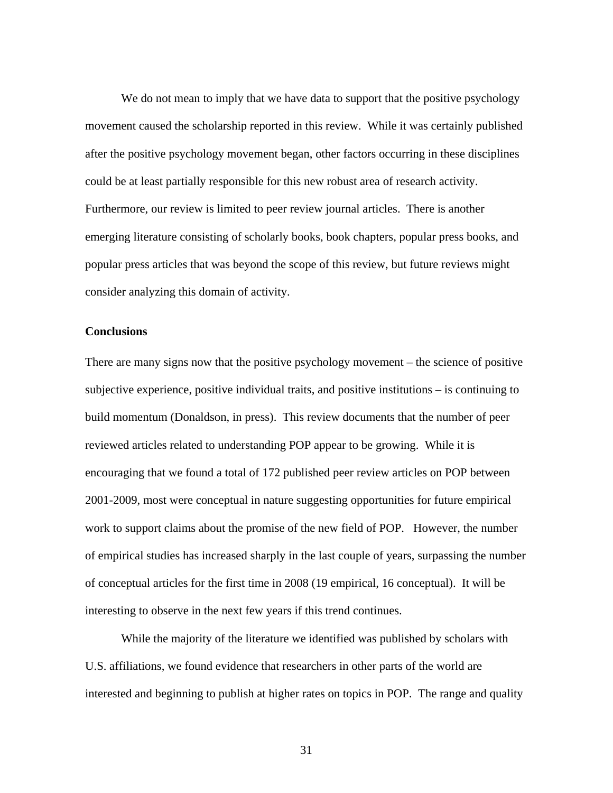We do not mean to imply that we have data to support that the positive psychology movement caused the scholarship reported in this review. While it was certainly published after the positive psychology movement began, other factors occurring in these disciplines could be at least partially responsible for this new robust area of research activity. Furthermore, our review is limited to peer review journal articles. There is another emerging literature consisting of scholarly books, book chapters, popular press books, and popular press articles that was beyond the scope of this review, but future reviews might consider analyzing this domain of activity.

## **Conclusions**

There are many signs now that the positive psychology movement – the science of positive subjective experience, positive individual traits, and positive institutions – is continuing to build momentum (Donaldson, in press). This review documents that the number of peer reviewed articles related to understanding POP appear to be growing. While it is encouraging that we found a total of 172 published peer review articles on POP between 2001-2009, most were conceptual in nature suggesting opportunities for future empirical work to support claims about the promise of the new field of POP. However, the number of empirical studies has increased sharply in the last couple of years, surpassing the number of conceptual articles for the first time in 2008 (19 empirical, 16 conceptual). It will be interesting to observe in the next few years if this trend continues.

While the majority of the literature we identified was published by scholars with U.S. affiliations, we found evidence that researchers in other parts of the world are interested and beginning to publish at higher rates on topics in POP. The range and quality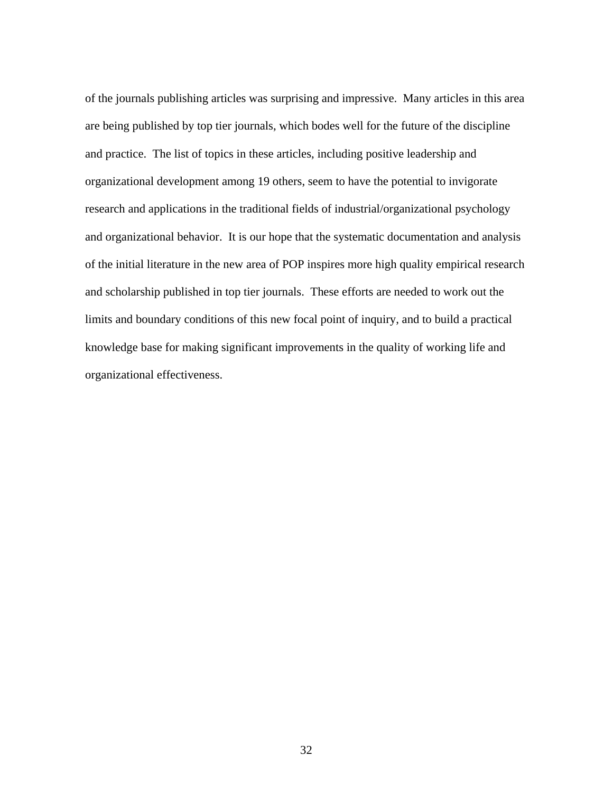of the journals publishing articles was surprising and impressive. Many articles in this area are being published by top tier journals, which bodes well for the future of the discipline and practice. The list of topics in these articles, including positive leadership and organizational development among 19 others, seem to have the potential to invigorate research and applications in the traditional fields of industrial/organizational psychology and organizational behavior. It is our hope that the systematic documentation and analysis of the initial literature in the new area of POP inspires more high quality empirical research and scholarship published in top tier journals. These efforts are needed to work out the limits and boundary conditions of this new focal point of inquiry, and to build a practical knowledge base for making significant improvements in the quality of working life and organizational effectiveness.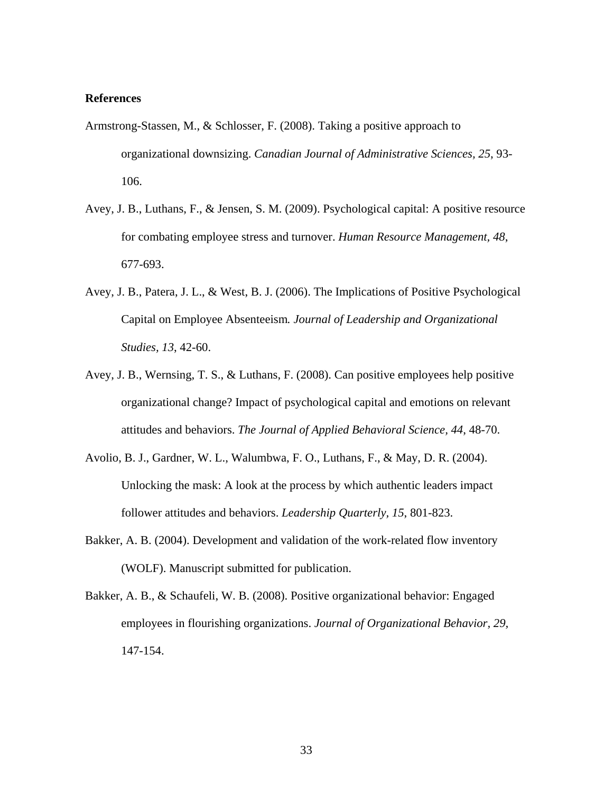## **References**

- Armstrong-Stassen, M., & Schlosser, F. (2008). Taking a positive approach to organizational downsizing. *Canadian Journal of Administrative Sciences, 25*, 93- 106.
- Avey, J. B., Luthans, F., & Jensen, S. M. (2009). Psychological capital: A positive resource for combating employee stress and turnover. *Human Resource Management, 48*, 677-693.
- Avey, J. B., Patera, J. L., & West, B. J. (2006). The Implications of Positive Psychological Capital on Employee Absenteeism*. Journal of Leadership and Organizational Studies, 13*, 42-60.
- Avey, J. B., Wernsing, T. S., & Luthans, F. (2008). Can positive employees help positive organizational change? Impact of psychological capital and emotions on relevant attitudes and behaviors. *The Journal of Applied Behavioral Science, 44*, 48-70.
- Avolio, B. J., Gardner, W. L., Walumbwa, F. O., Luthans, F., & May, D. R. (2004). Unlocking the mask: A look at the process by which authentic leaders impact follower attitudes and behaviors. *Leadership Quarterly, 15*, 801-823.
- Bakker, A. B. (2004). Development and validation of the work-related flow inventory (WOLF). Manuscript submitted for publication.
- Bakker, A. B., & Schaufeli, W. B. (2008). Positive organizational behavior: Engaged employees in flourishing organizations. *Journal of Organizational Behavior, 29,* 147-154.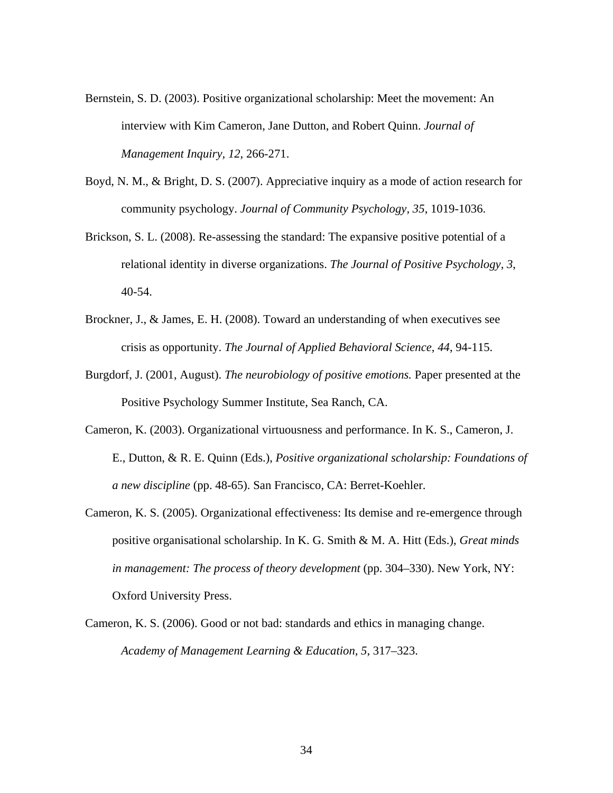- Bernstein, S. D. (2003). Positive organizational scholarship: Meet the movement: An interview with Kim Cameron, Jane Dutton, and Robert Quinn. *Journal of Management Inquiry, 12*, 266-271.
- Boyd, N. M., & Bright, D. S. (2007). Appreciative inquiry as a mode of action research for community psychology. *Journal of Community Psychology, 35*, 1019-1036.
- Brickson, S. L. (2008). Re-assessing the standard: The expansive positive potential of a relational identity in diverse organizations. *The Journal of Positive Psychology, 3*, 40-54.
- Brockner, J., & James, E. H. (2008). Toward an understanding of when executives see crisis as opportunity. *The Journal of Applied Behavioral Science, 44*, 94-115.
- Burgdorf, J. (2001, August). *The neurobiology of positive emotions.* Paper presented at the Positive Psychology Summer Institute, Sea Ranch, CA.
- Cameron, K. (2003). Organizational virtuousness and performance. In K. S., Cameron, J. E., Dutton, & R. E. Quinn (Eds.), *Positive organizational scholarship: Foundations of a new discipline* (pp. 48-65). San Francisco, CA: Berret-Koehler.
- Cameron, K. S. (2005). Organizational effectiveness: Its demise and re-emergence through positive organisational scholarship. In K. G. Smith & M. A. Hitt (Eds.), *Great minds in management: The process of theory development* (pp. 304–330). New York, NY: Oxford University Press.
- Cameron, K. S. (2006). Good or not bad: standards and ethics in managing change. *Academy of Management Learning & Education, 5*, 317–323.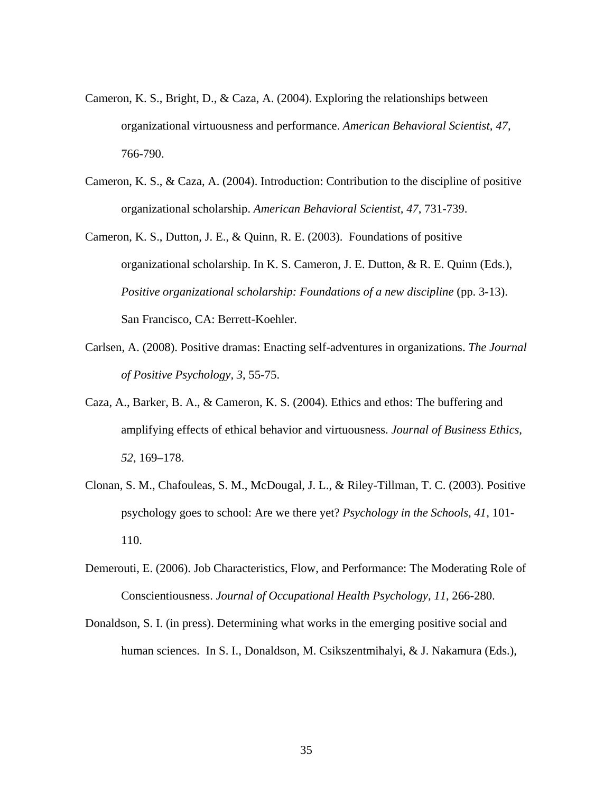- Cameron, K. S., Bright, D., & Caza, A. (2004). Exploring the relationships between organizational virtuousness and performance. *American Behavioral Scientist, 47*, 766-790.
- Cameron, K. S., & Caza, A. (2004). Introduction: Contribution to the discipline of positive organizational scholarship. *American Behavioral Scientist, 47*, 731-739.
- Cameron, K. S., Dutton, J. E., & Quinn, R. E. (2003). Foundations of positive organizational scholarship. In K. S. Cameron, J. E. Dutton, & R. E. Quinn (Eds.), *Positive organizational scholarship: Foundations of a new discipline* (pp. 3-13). San Francisco, CA: Berrett-Koehler.
- Carlsen, A. (2008). Positive dramas: Enacting self-adventures in organizations. *The Journal of Positive Psychology, 3*, 55-75.
- Caza, A., Barker, B. A., & Cameron, K. S. (2004). Ethics and ethos: The buffering and amplifying effects of ethical behavior and virtuousness. *Journal of Business Ethics, 52*, 169–178.
- Clonan, S. M., Chafouleas, S. M., McDougal, J. L., & Riley-Tillman, T. C. (2003). Positive psychology goes to school: Are we there yet? *Psychology in the Schools, 41*, 101- 110.
- Demerouti, E. (2006). Job Characteristics, Flow, and Performance: The Moderating Role of Conscientiousness. *Journal of Occupational Health Psychology, 11*, 266-280.
- Donaldson, S. I. (in press). Determining what works in the emerging positive social and human sciences. In S. I., Donaldson, M. Csikszentmihalyi, & J. Nakamura (Eds.),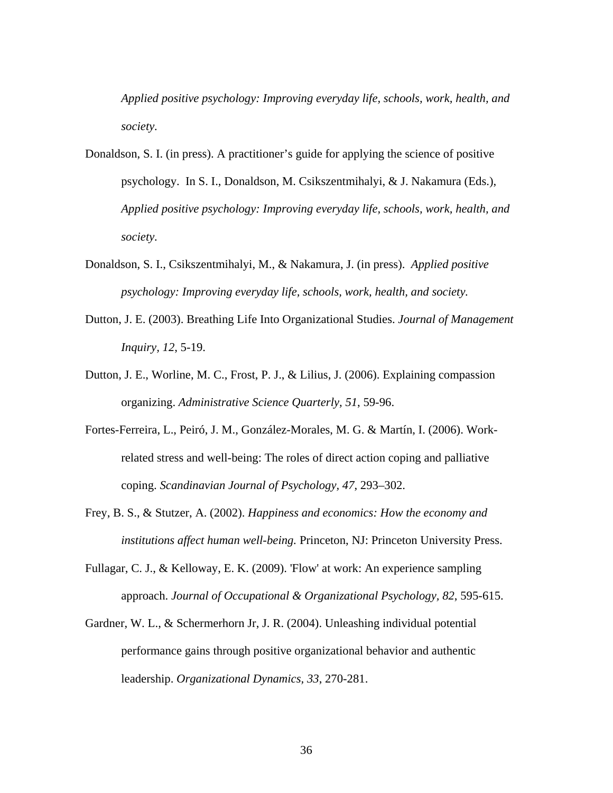*Applied positive psychology: Improving everyday life, schools, work, health, and society.*

- Donaldson, S. I. (in press). A practitioner's guide for applying the science of positive psychology. In S. I., Donaldson, M. Csikszentmihalyi, & J. Nakamura (Eds.), *Applied positive psychology: Improving everyday life, schools, work, health, and society.*
- Donaldson, S. I., Csikszentmihalyi, M., & Nakamura, J. (in press). *Applied positive psychology: Improving everyday life, schools, work, health, and society.*
- Dutton, J. E. (2003). Breathing Life Into Organizational Studies. *Journal of Management Inquiry, 12*, 5-19.
- Dutton, J. E., Worline, M. C., Frost, P. J., & Lilius, J. (2006). Explaining compassion organizing. *Administrative Science Quarterly, 51*, 59-96.
- Fortes-Ferreira, L., Peiró, J. M., González-Morales, M. G. & Martín, I. (2006). Workrelated stress and well-being: The roles of direct action coping and palliative coping. *Scandinavian Journal of Psychology, 47*, 293–302.
- Frey, B. S., & Stutzer, A. (2002). *Happiness and economics: How the economy and institutions affect human well-being.* Princeton, NJ: Princeton University Press.
- Fullagar, C. J., & Kelloway, E. K. (2009). 'Flow' at work: An experience sampling approach. *Journal of Occupational & Organizational Psychology, 82*, 595-615.
- Gardner, W. L., & Schermerhorn Jr, J. R. (2004). Unleashing individual potential performance gains through positive organizational behavior and authentic leadership. *Organizational Dynamics, 33*, 270-281.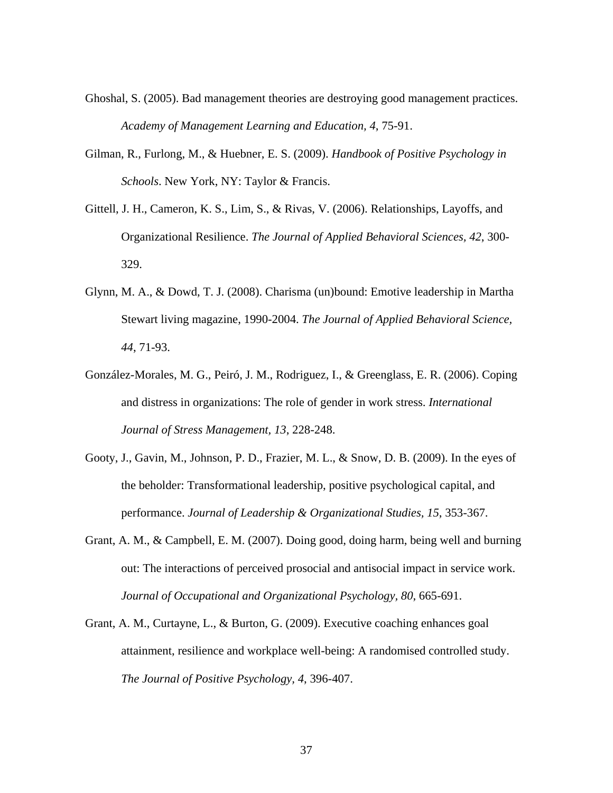- Ghoshal, S. (2005). Bad management theories are destroying good management practices. *Academy of Management Learning and Education, 4*, 75-91.
- Gilman, R., Furlong, M., & Huebner, E. S. (2009). *Handbook of Positive Psychology in Schools*. New York, NY: Taylor & Francis.
- Gittell, J. H., Cameron, K. S., Lim, S., & Rivas, V. (2006). Relationships, Layoffs, and Organizational Resilience. *The Journal of Applied Behavioral Sciences, 42*, 300- 329.
- Glynn, M. A., & Dowd, T. J. (2008). Charisma (un)bound: Emotive leadership in Martha Stewart living magazine, 1990-2004. *The Journal of Applied Behavioral Science, 44*, 71-93.
- González-Morales, M. G., Peiró, J. M., Rodriguez, I., & Greenglass, E. R. (2006). Coping and distress in organizations: The role of gender in work stress. *International Journal of Stress Management, 13*, 228-248.
- Gooty, J., Gavin, M., Johnson, P. D., Frazier, M. L., & Snow, D. B. (2009). In the eyes of the beholder: Transformational leadership, positive psychological capital, and performance. *Journal of Leadership & Organizational Studies, 15*, 353-367.
- Grant, A. M., & Campbell, E. M. (2007). Doing good, doing harm, being well and burning out: The interactions of perceived prosocial and antisocial impact in service work. *Journal of Occupational and Organizational Psychology, 80*, 665-691.
- Grant, A. M., Curtayne, L., & Burton, G. (2009). Executive coaching enhances goal attainment, resilience and workplace well-being: A randomised controlled study. *The Journal of Positive Psychology, 4*, 396-407.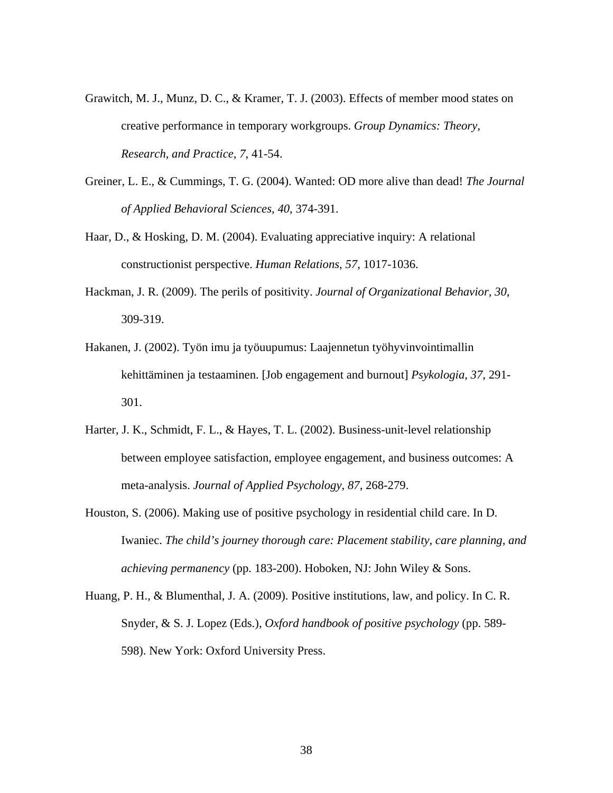- Grawitch, M. J., Munz, D. C., & Kramer, T. J. (2003). Effects of member mood states on creative performance in temporary workgroups. *Group Dynamics: Theory, Research, and Practice, 7*, 41-54.
- Greiner, L. E., & Cummings, T. G. (2004). Wanted: OD more alive than dead! *The Journal of Applied Behavioral Sciences, 40*, 374-391.
- Haar, D., & Hosking, D. M. (2004). Evaluating appreciative inquiry: A relational constructionist perspective. *Human Relations, 57*, 1017-1036.
- Hackman, J. R. (2009). The perils of positivity. *Journal of Organizational Behavior, 30*, 309-319.
- Hakanen, J. (2002). Työn imu ja työuupumus: Laajennetun työhyvinvointimallin kehittäminen ja testaaminen. [Job engagement and burnout] *Psykologia, 37*, 291- 301.
- Harter, J. K., Schmidt, F. L., & Hayes, T. L. (2002). Business-unit-level relationship between employee satisfaction, employee engagement, and business outcomes: A meta-analysis. *Journal of Applied Psychology, 87*, 268-279.
- Houston, S. (2006). Making use of positive psychology in residential child care. In D. Iwaniec. *The child's journey thorough care: Placement stability, care planning, and achieving permanency* (pp. 183-200). Hoboken, NJ: John Wiley & Sons.
- Huang, P. H., & Blumenthal, J. A. (2009). Positive institutions, law, and policy. In C. R. Snyder, & S. J. Lopez (Eds.), *Oxford handbook of positive psychology* (pp. 589- 598). New York: Oxford University Press.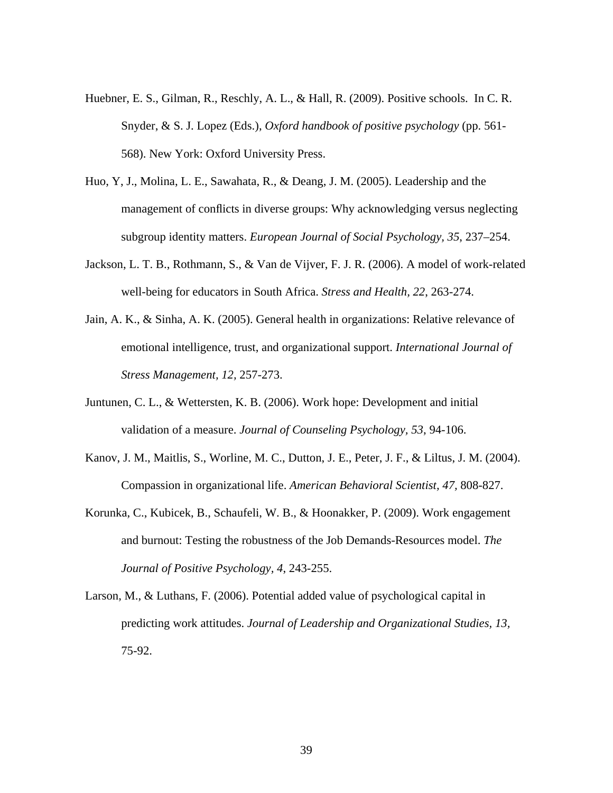- Huebner, E. S., Gilman, R., Reschly, A. L., & Hall, R. (2009). Positive schools. In C. R. Snyder, & S. J. Lopez (Eds.), *Oxford handbook of positive psychology* (pp. 561- 568). New York: Oxford University Press.
- Huo, Y, J., Molina, L. E., Sawahata, R., & Deang, J. M. (2005). Leadership and the management of conflicts in diverse groups: Why acknowledging versus neglecting subgroup identity matters. *European Journal of Social Psychology, 35*, 237–254.
- Jackson, L. T. B., Rothmann, S., & Van de Vijver, F. J. R. (2006). A model of work-related well-being for educators in South Africa. *Stress and Health, 22*, 263-274.
- Jain, A. K., & Sinha, A. K. (2005). General health in organizations: Relative relevance of emotional intelligence, trust, and organizational support. *International Journal of Stress Management, 12,* 257-273.
- Juntunen, C. L., & Wettersten, K. B. (2006). Work hope: Development and initial validation of a measure. *Journal of Counseling Psychology, 53*, 94-106.
- Kanov, J. M., Maitlis, S., Worline, M. C., Dutton, J. E., Peter, J. F., & Liltus, J. M. (2004). Compassion in organizational life. *American Behavioral Scientist, 47,* 808-827.
- Korunka, C., Kubicek, B., Schaufeli, W. B., & Hoonakker, P. (2009). Work engagement and burnout: Testing the robustness of the Job Demands-Resources model. *The Journal of Positive Psychology, 4*, 243-255.
- Larson, M., & Luthans, F. (2006). Potential added value of psychological capital in predicting work attitudes. *Journal of Leadership and Organizational Studies, 13,* 75-92.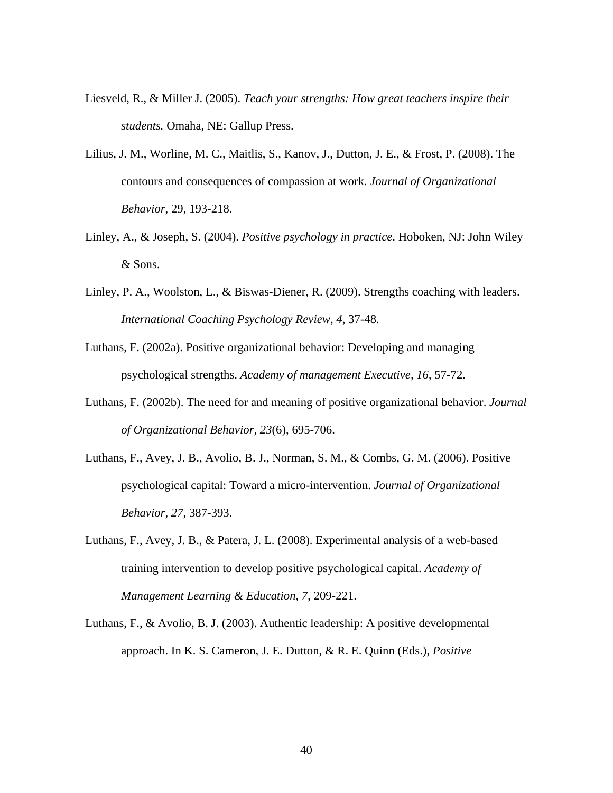- Liesveld, R., & Miller J. (2005). *Teach your strengths: How great teachers inspire their students.* Omaha, NE: Gallup Press.
- Lilius, J. M., Worline, M. C., Maitlis, S., Kanov, J., Dutton, J. E., & Frost, P. (2008). The contours and consequences of compassion at work. *Journal of Organizational Behavior*, 29, 193-218.
- Linley, A., & Joseph, S. (2004). *Positive psychology in practice*. Hoboken, NJ: John Wiley & Sons.
- Linley, P. A., Woolston, L., & Biswas-Diener, R. (2009). Strengths coaching with leaders. *International Coaching Psychology Review, 4*, 37-48.
- Luthans, F. (2002a). Positive organizational behavior: Developing and managing psychological strengths. *Academy of management Executive, 16*, 57-72.
- Luthans, F. (2002b). The need for and meaning of positive organizational behavior. *Journal of Organizational Behavior, 23*(6), 695-706.
- Luthans, F., Avey, J. B., Avolio, B. J., Norman, S. M., & Combs, G. M. (2006). Positive psychological capital: Toward a micro-intervention. *Journal of Organizational Behavior, 27*, 387-393.
- Luthans, F., Avey, J. B., & Patera, J. L. (2008). Experimental analysis of a web-based training intervention to develop positive psychological capital. *Academy of Management Learning & Education, 7*, 209-221.
- Luthans, F., & Avolio, B. J. (2003). Authentic leadership: A positive developmental approach. In K. S. Cameron, J. E. Dutton, & R. E. Quinn (Eds.), *Positive*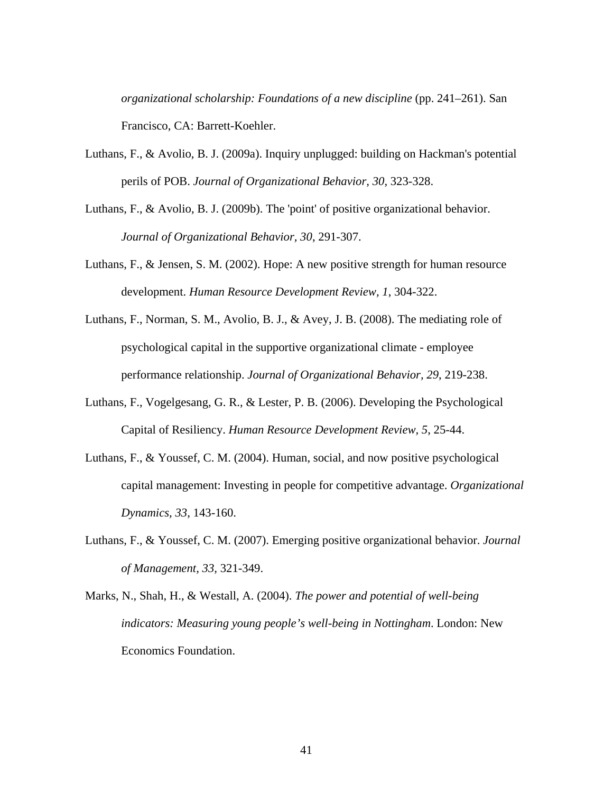*organizational scholarship: Foundations of a new discipline* (pp. 241–261). San Francisco, CA: Barrett-Koehler.

- Luthans, F., & Avolio, B. J. (2009a). Inquiry unplugged: building on Hackman's potential perils of POB. *Journal of Organizational Behavior, 30*, 323-328.
- Luthans, F., & Avolio, B. J. (2009b). The 'point' of positive organizational behavior. *Journal of Organizational Behavior, 30*, 291-307.
- Luthans, F., & Jensen, S. M. (2002). Hope: A new positive strength for human resource development. *Human Resource Development Review, 1*, 304-322.
- Luthans, F., Norman, S. M., Avolio, B. J., & Avey, J. B. (2008). The mediating role of psychological capital in the supportive organizational climate - employee performance relationship. *Journal of Organizational Behavior, 29*, 219-238.
- Luthans, F., Vogelgesang, G. R., & Lester, P. B. (2006). Developing the Psychological Capital of Resiliency. *Human Resource Development Review, 5*, 25-44.
- Luthans, F., & Youssef, C. M. (2004). Human, social, and now positive psychological capital management: Investing in people for competitive advantage. *Organizational Dynamics, 33*, 143-160.
- Luthans, F., & Youssef, C. M. (2007). Emerging positive organizational behavior. *Journal of Management, 33,* 321-349.
- Marks, N., Shah, H., & Westall, A. (2004). *The power and potential of well-being indicators: Measuring young people's well-being in Nottingham*. London: New Economics Foundation.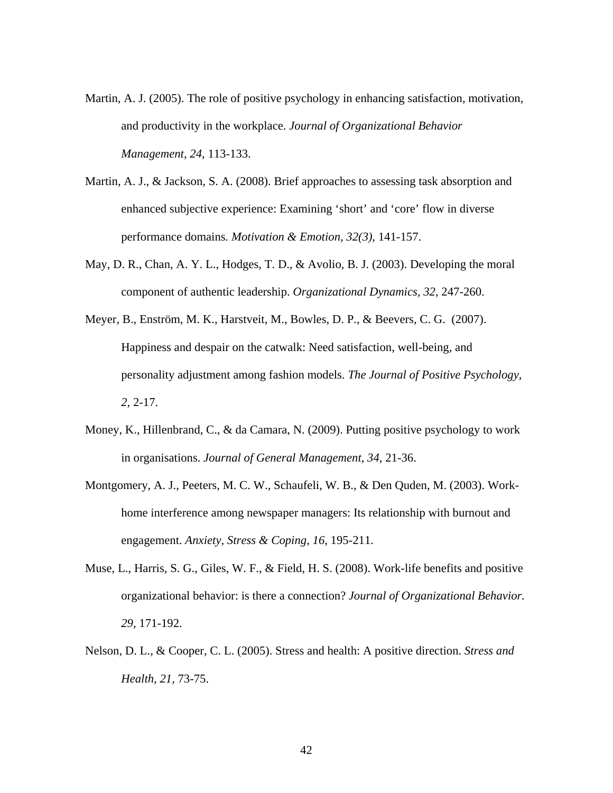- Martin, A. J. (2005). The role of positive psychology in enhancing satisfaction, motivation, and productivity in the workplace. *Journal of Organizational Behavior Management, 24*, 113-133.
- Martin, A. J., & Jackson, S. A. (2008). Brief approaches to assessing task absorption and enhanced subjective experience: Examining 'short' and 'core' flow in diverse performance domains*. Motivation & Emotion, 32(3)*, 141-157.
- May, D. R., Chan, A. Y. L., Hodges, T. D., & Avolio, B. J. (2003). Developing the moral component of authentic leadership. *Organizational Dynamics, 32*, 247-260.
- Meyer, B., Enström, M. K., Harstveit, M., Bowles, D. P., & Beevers, C. G. (2007). Happiness and despair on the catwalk: Need satisfaction, well-being, and personality adjustment among fashion models. *The Journal of Positive Psychology, 2,* 2-17.
- Money, K., Hillenbrand, C., & da Camara, N. (2009). Putting positive psychology to work in organisations. *Journal of General Management, 34*, 21-36.
- Montgomery, A. J., Peeters, M. C. W., Schaufeli, W. B., & Den Quden, M. (2003). Workhome interference among newspaper managers: Its relationship with burnout and engagement. *Anxiety, Stress & Coping, 16*, 195-211.
- Muse, L., Harris, S. G., Giles, W. F., & Field, H. S. (2008). Work-life benefits and positive organizational behavior: is there a connection? *Journal of Organizational Behavior. 29*, 171-192.
- Nelson, D. L., & Cooper, C. L. (2005). Stress and health: A positive direction. *Stress and Health, 21,* 73-75.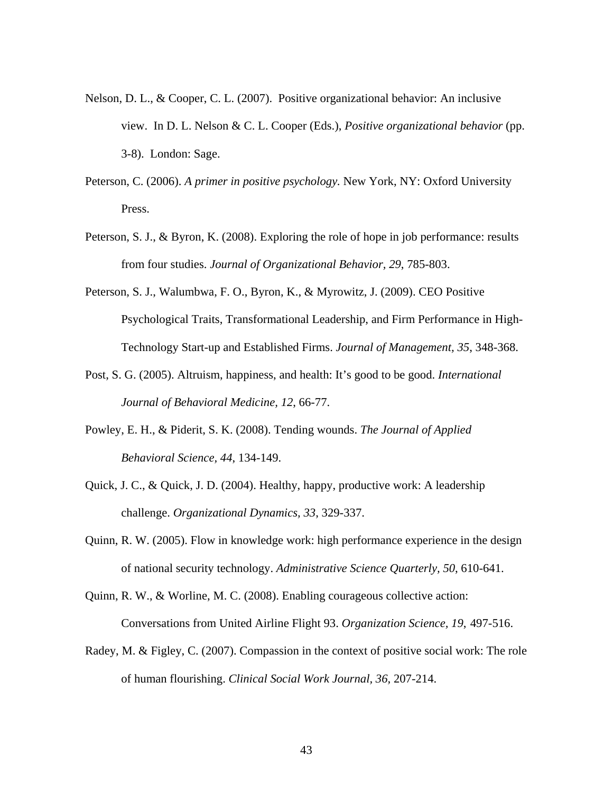- Nelson, D. L., & Cooper, C. L. (2007). Positive organizational behavior: An inclusive view. In D. L. Nelson & C. L. Cooper (Eds.), *Positive organizational behavior* (pp. 3-8). London: Sage.
- Peterson, C. (2006). *A primer in positive psychology.* New York, NY: Oxford University Press.
- Peterson, S. J., & Byron, K. (2008). Exploring the role of hope in job performance: results from four studies. *Journal of Organizational Behavior, 29*, 785-803.
- Peterson, S. J., Walumbwa, F. O., Byron, K., & Myrowitz, J. (2009). CEO Positive Psychological Traits, Transformational Leadership, and Firm Performance in High-Technology Start-up and Established Firms. *Journal of Management, 35*, 348-368.
- Post, S. G. (2005). Altruism, happiness, and health: It's good to be good. *International Journal of Behavioral Medicine, 12*, 66-77.
- Powley, E. H., & Piderit, S. K. (2008). Tending wounds. *The Journal of Applied Behavioral Science, 44*, 134-149.
- Quick, J. C., & Quick, J. D. (2004). Healthy, happy, productive work: A leadership challenge. *Organizational Dynamics, 33*, 329-337.
- Quinn, R. W. (2005). Flow in knowledge work: high performance experience in the design of national security technology. *Administrative Science Quarterly, 50*, 610-641.
- Quinn, R. W., & Worline, M. C. (2008). Enabling courageous collective action: Conversations from United Airline Flight 93. *Organization Science, 19*, 497-516.
- Radey, M. & Figley, C. (2007). Compassion in the context of positive social work: The role of human flourishing. *Clinical Social Work Journal, 36,* 207-214.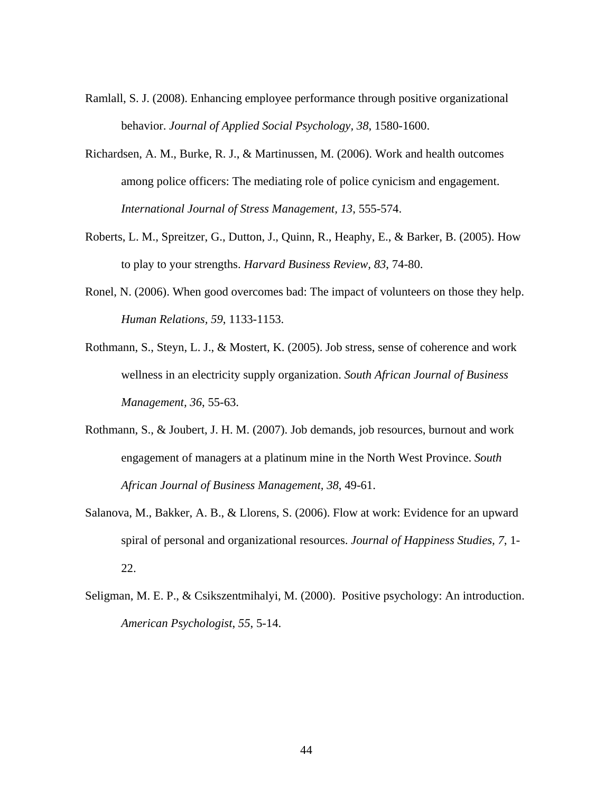- Ramlall, S. J. (2008). Enhancing employee performance through positive organizational behavior. *Journal of Applied Social Psychology, 38*, 1580-1600.
- Richardsen, A. M., Burke, R. J., & Martinussen, M. (2006). Work and health outcomes among police officers: The mediating role of police cynicism and engagement. *International Journal of Stress Management, 13*, 555-574.
- Roberts, L. M., Spreitzer, G., Dutton, J., Quinn, R., Heaphy, E., & Barker, B. (2005). How to play to your strengths. *Harvard Business Review, 83*, 74-80.
- Ronel, N. (2006). When good overcomes bad: The impact of volunteers on those they help. *Human Relations, 59*, 1133-1153.
- Rothmann, S., Steyn, L. J., & Mostert, K. (2005). Job stress, sense of coherence and work wellness in an electricity supply organization. *South African Journal of Business Management, 36*, 55-63.
- Rothmann, S., & Joubert, J. H. M. (2007). Job demands, job resources, burnout and work engagement of managers at a platinum mine in the North West Province. *South African Journal of Business Management, 38*, 49-61.
- Salanova, M., Bakker, A. B., & Llorens, S. (2006). Flow at work: Evidence for an upward spiral of personal and organizational resources. *Journal of Happiness Studies, 7*, 1- 22.
- Seligman, M. E. P., & Csikszentmihalyi, M. (2000). Positive psychology: An introduction. *American Psychologist*, *55*, 5-14.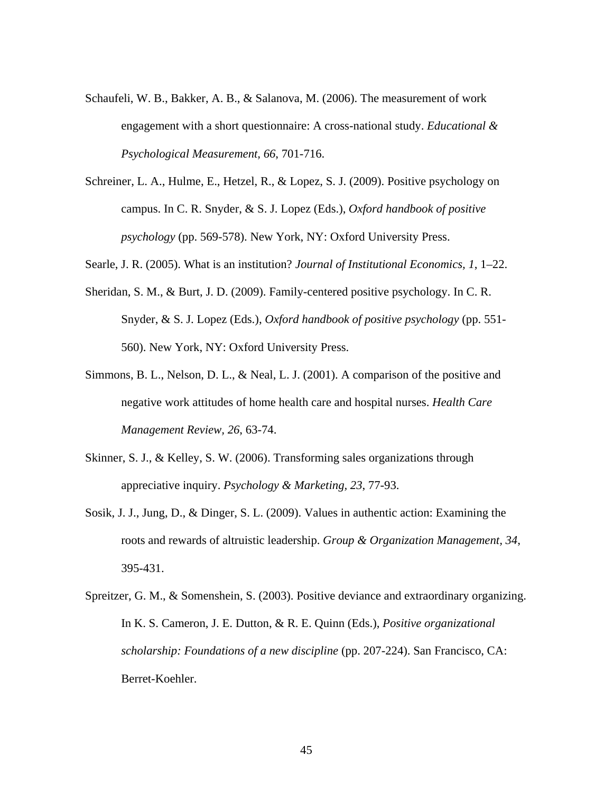- Schaufeli, W. B., Bakker, A. B., & Salanova, M. (2006). The measurement of work engagement with a short questionnaire: A cross-national study. *Educational & Psychological Measurement, 66*, 701-716.
- Schreiner, L. A., Hulme, E., Hetzel, R., & Lopez, S. J. (2009). Positive psychology on campus. In C. R. Snyder, & S. J. Lopez (Eds.), *Oxford handbook of positive psychology* (pp. 569-578). New York, NY: Oxford University Press.
- Searle, J. R. (2005). What is an institution? *Journal of Institutional Economics, 1*, 1–22.
- Sheridan, S. M., & Burt, J. D. (2009). Family-centered positive psychology. In C. R. Snyder, & S. J. Lopez (Eds.), *Oxford handbook of positive psychology* (pp. 551- 560). New York, NY: Oxford University Press.
- Simmons, B. L., Nelson, D. L., & Neal, L. J. (2001). A comparison of the positive and negative work attitudes of home health care and hospital nurses. *Health Care Management Review, 26*, 63-74.
- Skinner, S. J., & Kelley, S. W. (2006). Transforming sales organizations through appreciative inquiry. *Psychology & Marketing, 23*, 77-93.
- Sosik, J. J., Jung, D., & Dinger, S. L. (2009). Values in authentic action: Examining the roots and rewards of altruistic leadership. *Group & Organization Management, 34*, 395-431.
- Spreitzer, G. M., & Somenshein, S. (2003). Positive deviance and extraordinary organizing. In K. S. Cameron, J. E. Dutton, & R. E. Quinn (Eds.), *Positive organizational scholarship: Foundations of a new discipline* (pp. 207-224). San Francisco, CA: Berret-Koehler.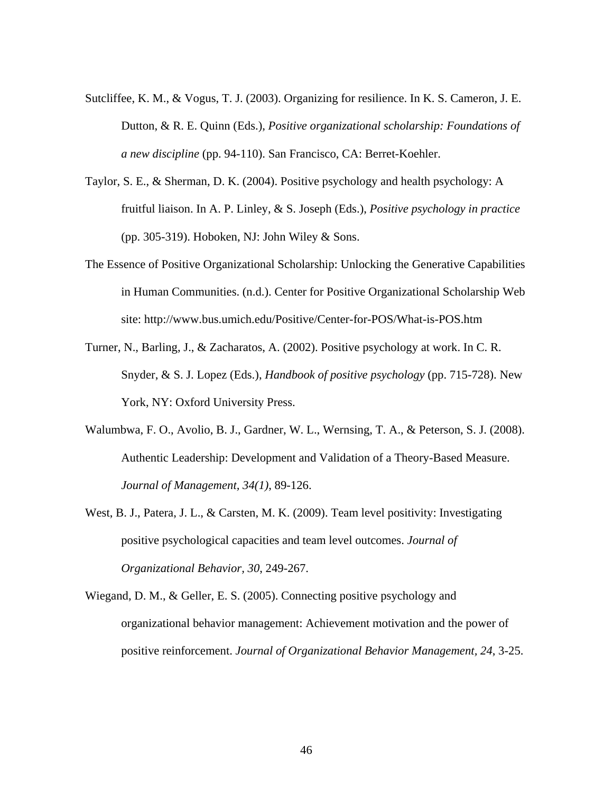- Sutcliffee, K. M., & Vogus, T. J. (2003). Organizing for resilience. In K. S. Cameron, J. E. Dutton, & R. E. Quinn (Eds.), *Positive organizational scholarship: Foundations of a new discipline* (pp. 94-110). San Francisco, CA: Berret-Koehler.
- Taylor, S. E., & Sherman, D. K. (2004). Positive psychology and health psychology: A fruitful liaison. In A. P. Linley, & S. Joseph (Eds.), *Positive psychology in practice*  (pp. 305-319). Hoboken, NJ: John Wiley & Sons.
- The Essence of Positive Organizational Scholarship: Unlocking the Generative Capabilities in Human Communities. (n.d.). Center for Positive Organizational Scholarship Web site: http://www.bus.umich.edu/Positive/Center-for-POS/What-is-POS.htm
- Turner, N., Barling, J., & Zacharatos, A. (2002). Positive psychology at work. In C. R. Snyder, & S. J. Lopez (Eds.), *Handbook of positive psychology* (pp. 715-728). New York, NY: Oxford University Press.
- Walumbwa, F. O., Avolio, B. J., Gardner, W. L., Wernsing, T. A., & Peterson, S. J. (2008). Authentic Leadership: Development and Validation of a Theory-Based Measure. *Journal of Management, 34(1)*, 89-126.
- West, B. J., Patera, J. L., & Carsten, M. K. (2009). Team level positivity: Investigating positive psychological capacities and team level outcomes. *Journal of Organizational Behavior, 30*, 249-267.
- Wiegand, D. M., & Geller, E. S. (2005). Connecting positive psychology and organizational behavior management: Achievement motivation and the power of positive reinforcement. *Journal of Organizational Behavior Management, 24*, 3-25.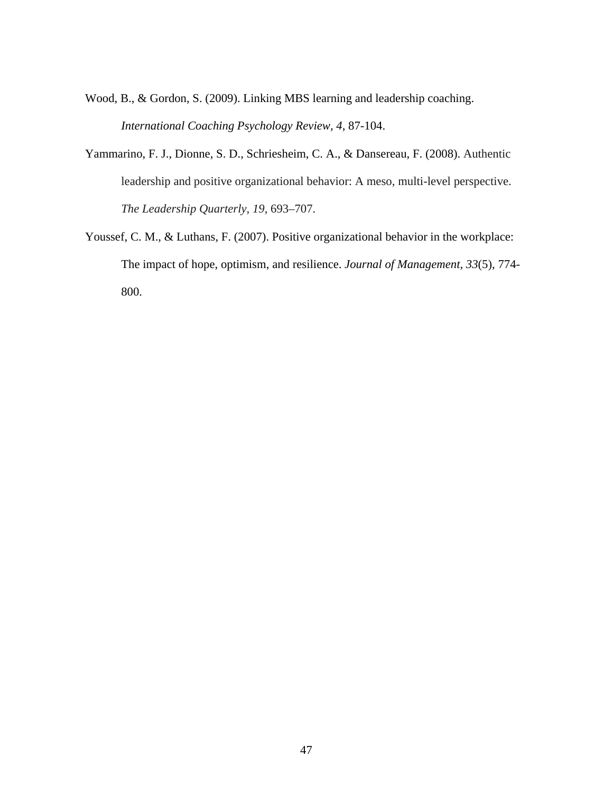- Wood, B., & Gordon, S. (2009). Linking MBS learning and leadership coaching. *International Coaching Psychology Review, 4*, 87-104.
- Yammarino, F. J., Dionne, S. D., Schriesheim, C. A., & Dansereau, F. (2008). Authentic leadership and positive organizational behavior: A meso, multi-level perspective. *The Leadership Quarterly, 19*, 693–707.
- Youssef, C. M., & Luthans, F. (2007). Positive organizational behavior in the workplace: The impact of hope, optimism, and resilience. *Journal of Management, 33*(5), 774- 800.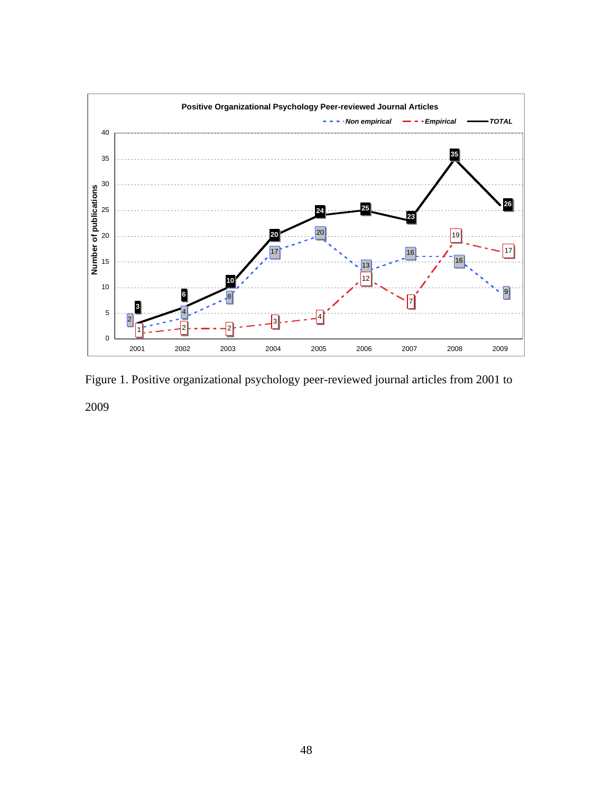

Figure 1. Positive organizational psychology peer-reviewed journal articles from 2001 to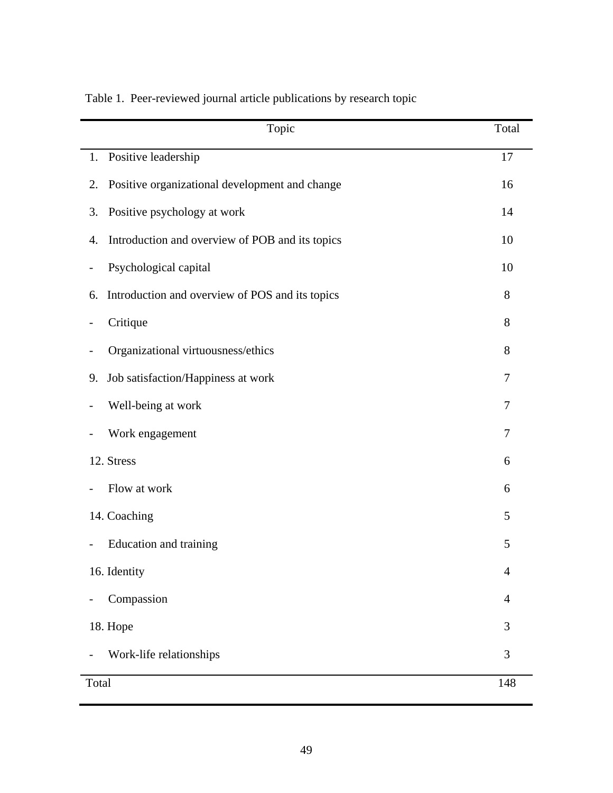| Topic                                                 | Total          |
|-------------------------------------------------------|----------------|
| Positive leadership<br>1.                             | 17             |
| Positive organizational development and change<br>2.  | 16             |
| Positive psychology at work<br>3.                     | 14             |
| Introduction and overview of POB and its topics<br>4. | 10             |
| Psychological capital<br>$\overline{\phantom{a}}$     | 10             |
| Introduction and overview of POS and its topics<br>6. | 8              |
| Critique<br>$\qquad \qquad \blacksquare$              | 8              |
| Organizational virtuousness/ethics                    | 8              |
| Job satisfaction/Happiness at work<br>9.              | 7              |
| Well-being at work                                    | 7              |
| Work engagement                                       | 7              |
| 12. Stress                                            | 6              |
| Flow at work                                          | 6              |
| 14. Coaching                                          | 5              |
| Education and training                                | 5              |
| 16. Identity                                          | $\overline{4}$ |
| Compassion                                            | $\overline{4}$ |
| 18. Hope                                              | 3              |
| Work-life relationships                               | 3              |
| Total                                                 | 148            |

## Table 1. Peer-reviewed journal article publications by research topic